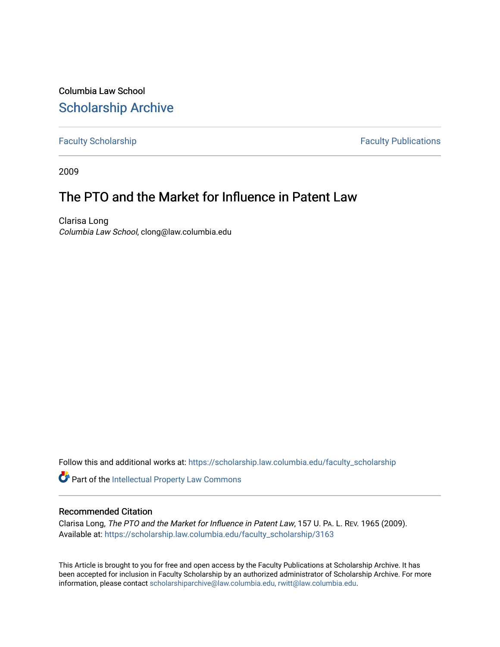Columbia Law School [Scholarship Archive](https://scholarship.law.columbia.edu/) 

[Faculty Scholarship](https://scholarship.law.columbia.edu/faculty_scholarship) **Faculty Scholarship Faculty Publications** 

2009

# The PTO and the Market for Influence in Patent Law

Clarisa Long Columbia Law School, clong@law.columbia.edu

Follow this and additional works at: [https://scholarship.law.columbia.edu/faculty\\_scholarship](https://scholarship.law.columbia.edu/faculty_scholarship?utm_source=scholarship.law.columbia.edu%2Ffaculty_scholarship%2F3163&utm_medium=PDF&utm_campaign=PDFCoverPages)

Part of the [Intellectual Property Law Commons](http://network.bepress.com/hgg/discipline/896?utm_source=scholarship.law.columbia.edu%2Ffaculty_scholarship%2F3163&utm_medium=PDF&utm_campaign=PDFCoverPages) 

## Recommended Citation

Clarisa Long, The PTO and the Market for Influence in Patent Law, 157 U. PA. L. REV. 1965 (2009). Available at: [https://scholarship.law.columbia.edu/faculty\\_scholarship/3163](https://scholarship.law.columbia.edu/faculty_scholarship/3163?utm_source=scholarship.law.columbia.edu%2Ffaculty_scholarship%2F3163&utm_medium=PDF&utm_campaign=PDFCoverPages)

This Article is brought to you for free and open access by the Faculty Publications at Scholarship Archive. It has been accepted for inclusion in Faculty Scholarship by an authorized administrator of Scholarship Archive. For more information, please contact [scholarshiparchive@law.columbia.edu, rwitt@law.columbia.edu](mailto:scholarshiparchive@law.columbia.edu,%20rwitt@law.columbia.edu).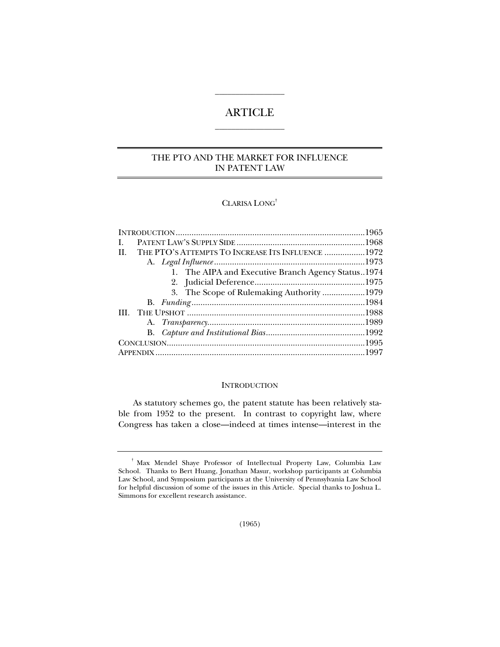## ARTICLE  $\overline{\phantom{a}}$  , where the contract of the contract of  $\overline{\phantom{a}}$

 $\overline{\phantom{a}}$  , where the contract of the contract of  $\overline{\phantom{a}}$ 

## THE PTO AND THE MARKET FOR INFLUENCE IN PATENT LAW

## CLARISA LONG†

| I.  |                                                    |  |
|-----|----------------------------------------------------|--|
| II. | THE PTO'S ATTEMPTS TO INCREASE ITS INFLUENCE 1972  |  |
|     |                                                    |  |
|     | 1. The AIPA and Executive Branch Agency Status1974 |  |
|     |                                                    |  |
|     | 3. The Scope of Rulemaking Authority 1979          |  |
|     |                                                    |  |
|     |                                                    |  |
|     |                                                    |  |
|     |                                                    |  |
|     |                                                    |  |
|     |                                                    |  |
|     |                                                    |  |

#### **INTRODUCTION**

As statutory schemes go, the patent statute has been relatively stable from 1952 to the present. In contrast to copyright law, where Congress has taken a close—indeed at times intense—interest in the

<sup>†</sup> Max Mendel Shaye Professor of Intellectual Property Law, Columbia Law School. Thanks to Bert Huang, Jonathan Masur, workshop participants at Columbia Law School, and Symposium participants at the University of Pennsylvania Law School for helpful discussion of some of the issues in this Article. Special thanks to Joshua L. Simmons for excellent research assistance.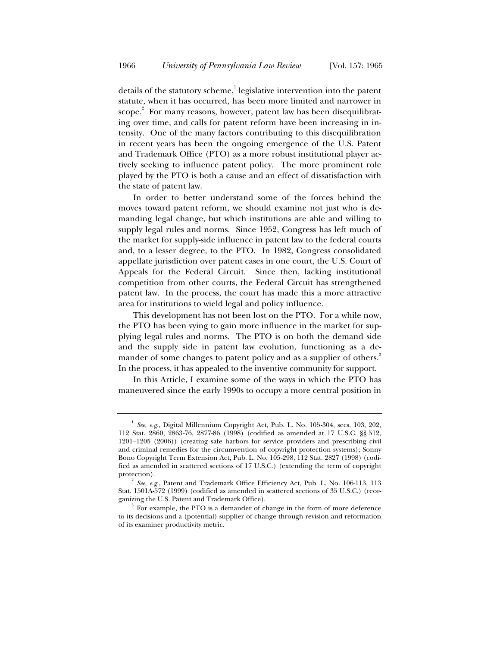details of the statutory scheme,<sup>1</sup> legislative intervention into the patent statute, when it has occurred, has been more limited and narrower in scope. $\degree$  For many reasons, however, patent law has been disequilibrating over time, and calls for patent reform have been increasing in intensity. One of the many factors contributing to this disequilibration in recent years has been the ongoing emergence of the U.S. Patent and Trademark Office (PTO) as a more robust institutional player actively seeking to influence patent policy. The more prominent role played by the PTO is both a cause and an effect of dissatisfaction with the state of patent law.

In order to better understand some of the forces behind the moves toward patent reform, we should examine not just who is demanding legal change, but which institutions are able and willing to supply legal rules and norms. Since 1952, Congress has left much of the market for supply-side influence in patent law to the federal courts and, to a lesser degree, to the PTO. In 1982, Congress consolidated appellate jurisdiction over patent cases in one court, the U.S. Court of Appeals for the Federal Circuit. Since then, lacking institutional competition from other courts, the Federal Circuit has strengthened patent law. In the process, the court has made this a more attractive area for institutions to wield legal and policy influence.

This development has not been lost on the PTO. For a while now, the PTO has been vying to gain more influence in the market for supplying legal rules and norms. The PTO is on both the demand side and the supply side in patent law evolution, functioning as a demander of some changes to patent policy and as a supplier of others.<sup>3</sup> In the process, it has appealed to the inventive community for support.

In this Article, I examine some of the ways in which the PTO has maneuvered since the early 1990s to occupy a more central position in

<sup>&</sup>lt;sup>1</sup> See, e.g., Digital Millennium Copyright Act, Pub. L. No. 105-304, secs. 103, 202, 112 Stat. 2860, 2863-76, 2877-86 (1998) (codified as amended at 17 U.S.C. §§ 512, 1201–1205 (2006)) (creating safe harbors for service providers and prescribing civil and criminal remedies for the circumvention of copyright protection systems); Sonny Bono Copyright Term Extension Act, Pub. L. No. 105-298, 112 Stat. 2827 (1998) (codified as amended in scattered sections of 17 U.S.C.) (extending the term of copyright protection). 2

*See, e.g.*, Patent and Trademark Office Efficiency Act, Pub. L. No. 106-113, 113 Stat. 1501A-572 (1999) (codified as amended in scattered sections of 35 U.S.C.) (reorganizing the U.S. Patent and Trademark Office). 3

 $3$  For example, the PTO is a demander of change in the form of more deference to its decisions and a (potential) supplier of change through revision and reformation of its examiner productivity metric.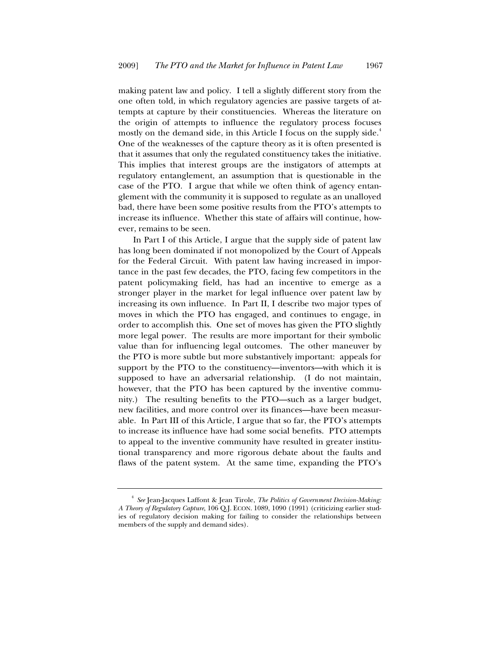making patent law and policy. I tell a slightly different story from the one often told, in which regulatory agencies are passive targets of attempts at capture by their constituencies. Whereas the literature on the origin of attempts to influence the regulatory process focuses mostly on the demand side, in this Article I focus on the supply side.<sup>4</sup> One of the weaknesses of the capture theory as it is often presented is that it assumes that only the regulated constituency takes the initiative. This implies that interest groups are the instigators of attempts at regulatory entanglement, an assumption that is questionable in the case of the PTO. I argue that while we often think of agency entanglement with the community it is supposed to regulate as an unalloyed bad, there have been some positive results from the PTO's attempts to increase its influence. Whether this state of affairs will continue, however, remains to be seen.

In Part I of this Article, I argue that the supply side of patent law has long been dominated if not monopolized by the Court of Appeals for the Federal Circuit. With patent law having increased in importance in the past few decades, the PTO, facing few competitors in the patent policymaking field, has had an incentive to emerge as a stronger player in the market for legal influence over patent law by increasing its own influence. In Part II, I describe two major types of moves in which the PTO has engaged, and continues to engage, in order to accomplish this. One set of moves has given the PTO slightly more legal power. The results are more important for their symbolic value than for influencing legal outcomes. The other maneuver by the PTO is more subtle but more substantively important: appeals for support by the PTO to the constituency—inventors—with which it is supposed to have an adversarial relationship. (I do not maintain, however, that the PTO has been captured by the inventive community.) The resulting benefits to the PTO—such as a larger budget, new facilities, and more control over its finances—have been measurable. In Part III of this Article, I argue that so far, the PTO's attempts to increase its influence have had some social benefits. PTO attempts to appeal to the inventive community have resulted in greater institutional transparency and more rigorous debate about the faults and flaws of the patent system. At the same time, expanding the PTO's

<sup>4</sup> *See* Jean-Jacques Laffont & Jean Tirole, *The Politics of Government Decision-Making: A Theory of Regulatory Capture*, 106 Q.J. ECON. 1089, 1090 (1991) (criticizing earlier studies of regulatory decision making for failing to consider the relationships between members of the supply and demand sides).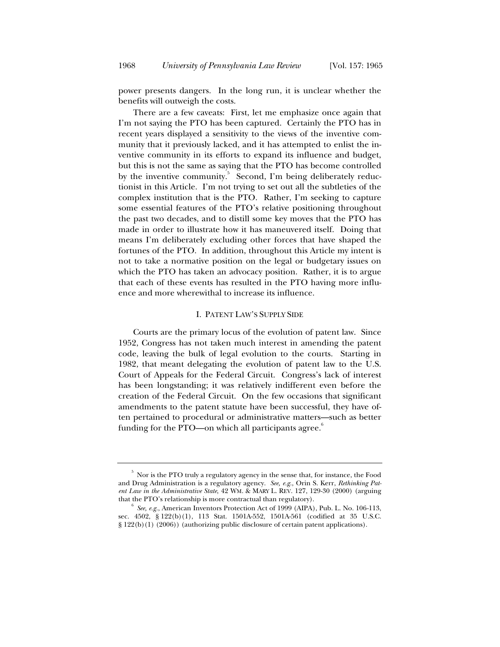power presents dangers. In the long run, it is unclear whether the benefits will outweigh the costs.

There are a few caveats: First, let me emphasize once again that I'm not saying the PTO has been captured. Certainly the PTO has in recent years displayed a sensitivity to the views of the inventive community that it previously lacked, and it has attempted to enlist the inventive community in its efforts to expand its influence and budget, but this is not the same as saying that the PTO has become controlled by the inventive community.<sup>5</sup> Second, I'm being deliberately reductionist in this Article. I'm not trying to set out all the subtleties of the complex institution that is the PTO. Rather, I'm seeking to capture some essential features of the PTO's relative positioning throughout the past two decades, and to distill some key moves that the PTO has made in order to illustrate how it has maneuvered itself. Doing that means I'm deliberately excluding other forces that have shaped the fortunes of the PTO. In addition, throughout this Article my intent is not to take a normative position on the legal or budgetary issues on which the PTO has taken an advocacy position. Rather, it is to argue that each of these events has resulted in the PTO having more influence and more wherewithal to increase its influence.

#### I. PATENT LAW'S SUPPLY SIDE

Courts are the primary locus of the evolution of patent law. Since 1952, Congress has not taken much interest in amending the patent code, leaving the bulk of legal evolution to the courts. Starting in 1982, that meant delegating the evolution of patent law to the U.S. Court of Appeals for the Federal Circuit. Congress's lack of interest has been longstanding; it was relatively indifferent even before the creation of the Federal Circuit. On the few occasions that significant amendments to the patent statute have been successful, they have often pertained to procedural or administrative matters—such as better funding for the PTO—on which all participants agree. $^{\circ}$ 

 $^{\rm 5}$  Nor is the PTO truly a regulatory agency in the sense that, for instance, the Food and Drug Administration is a regulatory agency. *See, e.g.*, Orin S. Kerr, *Rethinking Patent Law in the Administrative State*, 42 WM. & MARY L. REV. 127, 129-30 (2000) (arguing that the PTO's relationship is more contractual than regulatory).

*See, e.g.*, American Inventors Protection Act of 1999 (AIPA), Pub. L. No. 106-113, sec. 4502, § 122(b)(1), 113 Stat. 1501A-552, 1501A-561 (codified at 35 U.S.C. § 122(b)(1) (2006)) (authorizing public disclosure of certain patent applications).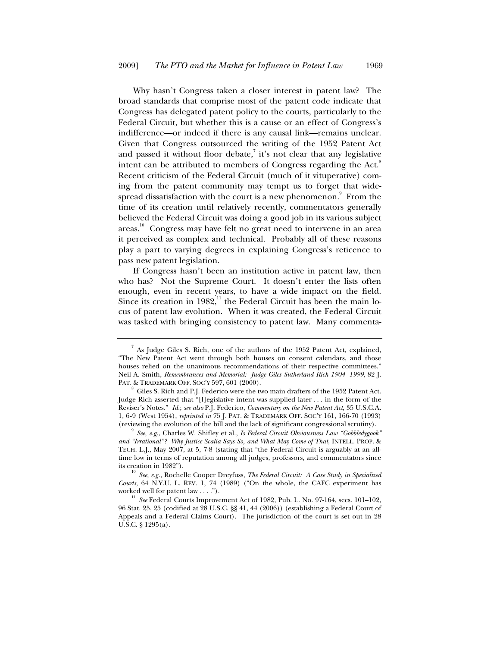Why hasn't Congress taken a closer interest in patent law? The broad standards that comprise most of the patent code indicate that Congress has delegated patent policy to the courts, particularly to the Federal Circuit, but whether this is a cause or an effect of Congress's indifference—or indeed if there is any causal link—remains unclear. Given that Congress outsourced the writing of the 1952 Patent Act and passed it without floor debate, $\bar{i}$  it's not clear that any legislative intent can be attributed to members of Congress regarding the Act.<sup>8</sup> Recent criticism of the Federal Circuit (much of it vituperative) coming from the patent community may tempt us to forget that widespread dissatisfaction with the court is a new phenomenon. $^{\circ}\,$  From the time of its creation until relatively recently, commentators generally believed the Federal Circuit was doing a good job in its various subject areas.<sup>10</sup> Congress may have felt no great need to intervene in an area it perceived as complex and technical. Probably all of these reasons play a part to varying degrees in explaining Congress's reticence to pass new patent legislation.

If Congress hasn't been an institution active in patent law, then who has? Not the Supreme Court. It doesn't enter the lists often enough, even in recent years, to have a wide impact on the field. Since its creation in  $1982<sup>{11}</sup>$  the Federal Circuit has been the main locus of patent law evolution. When it was created, the Federal Circuit was tasked with bringing consistency to patent law. Many commenta-

 $^7$  As Judge Giles S. Rich, one of the authors of the 1952 Patent Act, explained, "The New Patent Act went through both houses on consent calendars, and those houses relied on the unanimous recommendations of their respective committees." Neil A. Smith, *Remembrances and Memorial: Judge Giles Sutherland Rich 1904–1999*, 82 J. PAT. & TRADEMARK OFF. SOC'Y 597, 601 (2000).<br><sup>8</sup> Giles S. Rich and P.J. Federico were the two main drafters of the 1952 Patent Act.

Judge Rich asserted that "[l]egislative intent was supplied later . . . in the form of the Reviser's Notes." *Id.*; *see also* P.J. Federico, *Commentary on the New Patent Act*, 35 U.S.C.A. 1, 6-9 (West 1954), *reprinted in* 75 J. PAT.&TRADEMARK OFF. SOC'Y 161, 166-70 (1993) (reviewing the evolution of the bill and the lack of significant congressional scrutiny). 9

*See, e.g.*, Charles W. Shifley et al., *Is Federal Circuit Obviousness Law "Gobbledygook" and "Irrational"? Why Justice Scalia Says So, and What May Come of That*, INTELL. PROP. & TECH. L.J., May 2007, at 5, 7-8 (stating that "the Federal Circuit is arguably at an alltime low in terms of reputation among all judges, professors, and commentators since its creation in 1982").<br><sup>10</sup> *See, e.g.*, Rochelle Cooper Dreyfuss, *The Federal Circuit: A Case Study in Specialized* 

*Courts*, 64 N.Y.U. L. REV. 1, 74 (1989) ("On the whole, the CAFC experiment has

worked well for patent law . . . .").<br><sup>11</sup> *See* Federal Courts Improvement Act of 1982, Pub. L. No. 97-164, secs. 101–102, 96 Stat. 25, 25 (codified at 28 U.S.C. §§ 41, 44 (2006)) (establishing a Federal Court of Appeals and a Federal Claims Court). The jurisdiction of the court is set out in 28 U.S.C. § 1295(a).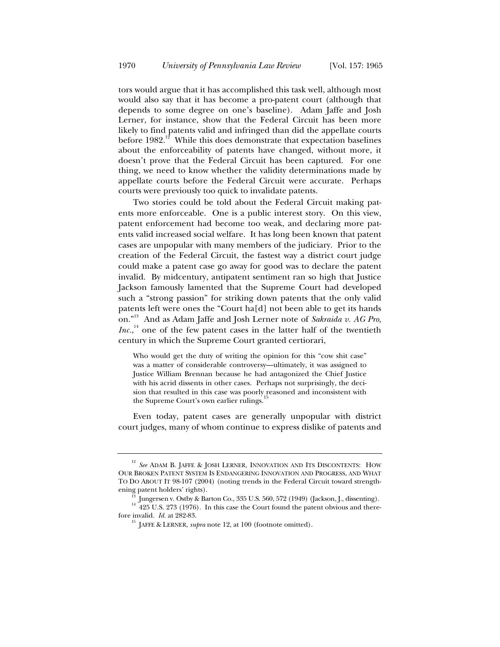tors would argue that it has accomplished this task well, although most would also say that it has become a pro-patent court (although that depends to some degree on one's baseline). Adam Jaffe and Josh Lerner, for instance, show that the Federal Circuit has been more likely to find patents valid and infringed than did the appellate courts before  $1982$ <sup>12</sup> While this does demonstrate that expectation baselines about the enforceability of patents have changed, without more, it doesn't prove that the Federal Circuit has been captured. For one thing, we need to know whether the validity determinations made by appellate courts before the Federal Circuit were accurate. Perhaps courts were previously too quick to invalidate patents.

Two stories could be told about the Federal Circuit making patents more enforceable. One is a public interest story. On this view, patent enforcement had become too weak, and declaring more patents valid increased social welfare. It has long been known that patent cases are unpopular with many members of the judiciary. Prior to the creation of the Federal Circuit, the fastest way a district court judge could make a patent case go away for good was to declare the patent invalid. By midcentury, antipatent sentiment ran so high that Justice Jackson famously lamented that the Supreme Court had developed such a "strong passion" for striking down patents that the only valid patents left were ones the "Court ha[d] not been able to get its hands on."13 And as Adam Jaffe and Josh Lerner note of *Sakraida v. AG Pro,*   $Inc$ <sup>14</sup>, one of the few patent cases in the latter half of the twentieth century in which the Supreme Court granted certiorari,

Who would get the duty of writing the opinion for this "cow shit case" was a matter of considerable controversy—ultimately, it was assigned to Justice William Brennan because he had antagonized the Chief Justice with his acrid dissents in other cases. Perhaps not surprisingly, the decision that resulted in this case was poorly reasoned and inconsistent with the Supreme Court's own earlier rulings.<sup>1</sup>

Even today, patent cases are generally unpopular with district court judges, many of whom continue to express dislike of patents and

<sup>&</sup>lt;sup>12</sup> See ADAM B. JAFFE & JOSH LERNER, INNOVATION AND ITS DISCONTENTS: HOW OUR BROKEN PATENT SYSTEM IS ENDANGERING INNOVATION AND PROGRESS, AND WHAT TO DO ABOUT IT 98-107 (2004) (noting trends in the Federal Circuit toward strength-

ening patent holders' rights). 13 Jungersen v. Ostby & Barton Co., 335 U.S. 560, 572 (1949) (Jackson, J., dissenting). 14 425 U.S. 273 (1976). In this case the Court found the patent obvious and there-<br>fore invalid. *Id.* 

<sup>&</sup>lt;sup>15</sup> JAFFE & LERNER, *supra* note 12, at 100 (footnote omitted).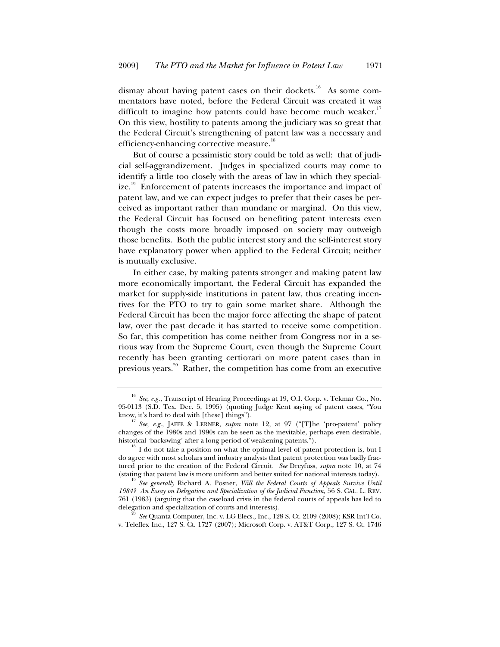dismay about having patent cases on their dockets.<sup>16</sup> As some commentators have noted, before the Federal Circuit was created it was difficult to imagine how patents could have become much weaker.<sup>1</sup> On this view, hostility to patents among the judiciary was so great that the Federal Circuit's strengthening of patent law was a necessary and efficiency-enhancing corrective measure.<sup>18</sup>

But of course a pessimistic story could be told as well: that of judicial self-aggrandizement. Judges in specialized courts may come to identify a little too closely with the areas of law in which they specialize.<sup>19</sup> Enforcement of patents increases the importance and impact of patent law, and we can expect judges to prefer that their cases be perceived as important rather than mundane or marginal. On this view, the Federal Circuit has focused on benefiting patent interests even though the costs more broadly imposed on society may outweigh those benefits. Both the public interest story and the self-interest story have explanatory power when applied to the Federal Circuit; neither is mutually exclusive.

In either case, by making patents stronger and making patent law more economically important, the Federal Circuit has expanded the market for supply-side institutions in patent law, thus creating incentives for the PTO to try to gain some market share. Although the Federal Circuit has been the major force affecting the shape of patent law, over the past decade it has started to receive some competition. So far, this competition has come neither from Congress nor in a serious way from the Supreme Court, even though the Supreme Court recently has been granting certiorari on more patent cases than in previous years.<sup>20</sup> Rather, the competition has come from an executive

v. Teleflex Inc., 127 S. Ct. 1727 (2007); Microsoft Corp. v. AT&T Corp., 127 S. Ct. 1746

<sup>16</sup> *See, e.g.*, Transcript of Hearing Proceedings at 19, O.I. Corp. v. Tekmar Co., No. 95-0113 (S.D. Tex. Dec. 5, 1995) (quoting Judge Kent saying of patent cases, "You

See, e.g., JAFFE & LERNER, *supra* note 12, at 97 ("[T]he 'pro-patent' policy changes of the 1980s and 1990s can be seen as the inevitable, perhaps even desirable, historical 'backswing' after a long period of weakening patents.").<br><sup>18</sup> I do not take a position on what the optimal level of patent protection is, but I

do agree with most scholars and industry analysts that patent protection was badly fractured prior to the creation of the Federal Circuit. *See* Dreyfuss, *supra* note 10, at 74 (stating that patent law is more uniform and better suited for national interests today). 19 *See generally* Richard A. Posner, *Will the Federal Courts of Appeals Survive Until* 

*<sup>1984?</sup> An Essay on Delegation and Specialization of the Judicial Function*, 56 S. CAL. L. REV. 761 (1983) (arguing that the caseload crisis in the federal courts of appeals has led to delegation and specialization of courts and interests). 20 *See* Quanta Computer, Inc. v. LG Elecs., Inc., 128 S. Ct. 2109 (2008); KSR Int'l Co.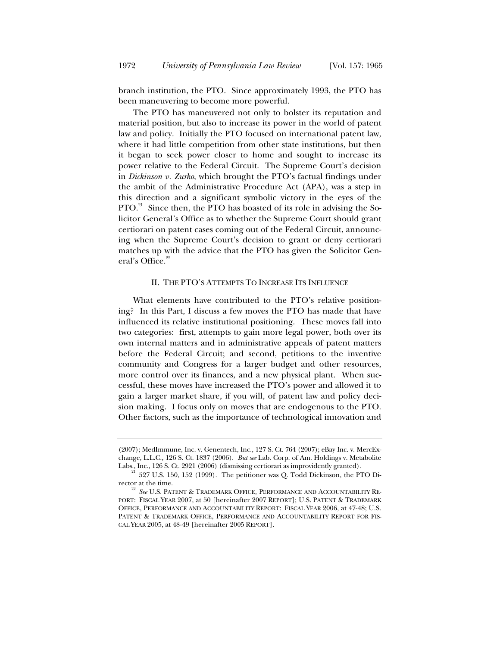branch institution, the PTO. Since approximately 1993, the PTO has been maneuvering to become more powerful.

The PTO has maneuvered not only to bolster its reputation and material position, but also to increase its power in the world of patent law and policy. Initially the PTO focused on international patent law, where it had little competition from other state institutions, but then it began to seek power closer to home and sought to increase its power relative to the Federal Circuit. The Supreme Court's decision in *Dickinson v. Zurko*, which brought the PTO's factual findings under the ambit of the Administrative Procedure Act (APA), was a step in this direction and a significant symbolic victory in the eyes of the  $PTO.<sup>21</sup>$  Since then, the PTO has boasted of its role in advising the Solicitor General's Office as to whether the Supreme Court should grant certiorari on patent cases coming out of the Federal Circuit, announcing when the Supreme Court's decision to grant or deny certiorari matches up with the advice that the PTO has given the Solicitor General's Office.<sup>22</sup>

#### II. THE PTO'S ATTEMPTS TO INCREASE ITS INFLUENCE

What elements have contributed to the PTO's relative positioning? In this Part, I discuss a few moves the PTO has made that have influenced its relative institutional positioning. These moves fall into two categories: first, attempts to gain more legal power, both over its own internal matters and in administrative appeals of patent matters before the Federal Circuit; and second, petitions to the inventive community and Congress for a larger budget and other resources, more control over its finances, and a new physical plant. When successful, these moves have increased the PTO's power and allowed it to gain a larger market share, if you will, of patent law and policy decision making. I focus only on moves that are endogenous to the PTO. Other factors, such as the importance of technological innovation and

<sup>(2007);</sup> MedImmune, Inc. v. Genentech, Inc., 127 S. Ct. 764 (2007); eBay Inc. v. MercExchange, L.L.C., 126 S. Ct. 1837 (2006). *But see* Lab. Corp. of Am. Holdings v. Metabolite

Labs., Inc., 126 S. Ct. 2921 (2006) (dismissing certiorari as improvidently granted).  $^{21}$  527 U.S. 150, 152 (1999). The petitioner was Q. Todd Dickinson, the PTO Director at the time. 22 *See* U.S. PATENT & TRADEMARK OFFICE, PERFORMANCE AND ACCOUNTABILITY RE-

PORT: FISCAL YEAR 2007, at 50 [hereinafter 2007 REPORT]; U.S. PATENT & TRADEMARK OFFICE, PERFORMANCE AND ACCOUNTABILITY REPORT: FISCAL YEAR 2006, at 47-48; U.S. PATENT & TRADEMARK OFFICE, PERFORMANCE AND ACCOUNTABILITY REPORT FOR FIS-CAL YEAR 2005, at 48-49 [hereinafter 2005 REPORT].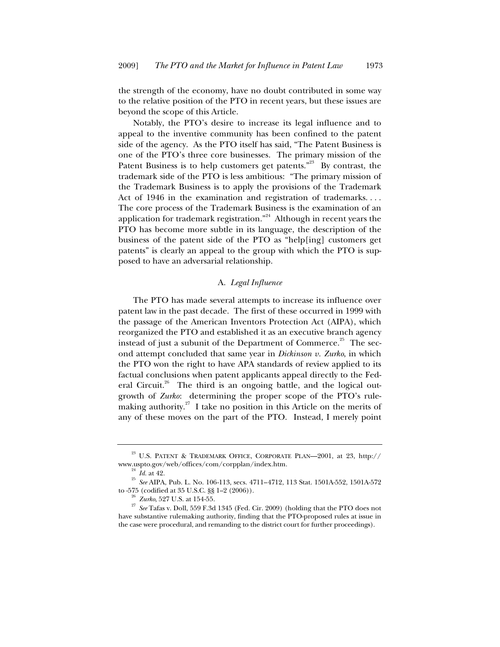the strength of the economy, have no doubt contributed in some way to the relative position of the PTO in recent years, but these issues are beyond the scope of this Article.

Notably, the PTO's desire to increase its legal influence and to appeal to the inventive community has been confined to the patent side of the agency. As the PTO itself has said, "The Patent Business is one of the PTO's three core businesses. The primary mission of the Patent Business is to help customers get patents."<sup>23</sup> By contrast, the trademark side of the PTO is less ambitious: "The primary mission of the Trademark Business is to apply the provisions of the Trademark Act of 1946 in the examination and registration of trademarks. . . . The core process of the Trademark Business is the examination of an application for trademark registration." $24$  Although in recent years the PTO has become more subtle in its language, the description of the business of the patent side of the PTO as "help[ing] customers get patents" is clearly an appeal to the group with which the PTO is supposed to have an adversarial relationship.

## A. *Legal Influence*

The PTO has made several attempts to increase its influence over patent law in the past decade. The first of these occurred in 1999 with the passage of the American Inventors Protection Act (AIPA), which reorganized the PTO and established it as an executive branch agency instead of just a subunit of the Department of Commerce.<sup>25</sup> The second attempt concluded that same year in *Dickinson v. Zurko*, in which the PTO won the right to have APA standards of review applied to its factual conclusions when patent applicants appeal directly to the Federal Circuit.<sup>26</sup> The third is an ongoing battle, and the logical outgrowth of *Zurko*: determining the proper scope of the PTO's rulemaking authority.<sup>27</sup> I take no position in this Article on the merits of any of these moves on the part of the PTO. Instead, I merely point

<sup>&</sup>lt;sup>23</sup> U.S. PATENT & TRADEMARK OFFICE, CORPORATE PLAN—2001, at 23, http://www.uspto.gov/web/offices/com/corpplan/index.htm.

<sup>&</sup>lt;sup>24</sup> *Id.* at 42. <br><sup>25</sup> *See* AIPA, Pub. L. No. 106-113, secs. 4711–4712, 113 Stat. 1501A-552, 1501A-572

to -575 (codified at 35 U.S.C. §§ 1–2 (2006)). 26 *Zurko*, 527 U.S. at 154-55. 27 *See* Tafas v. Doll, 559 F.3d 1345 (Fed. Cir. 2009) (holding that the PTO does not have substantive rulemaking authority, finding that the PTO-proposed rules at issue in the case were procedural, and remanding to the district court for further proceedings).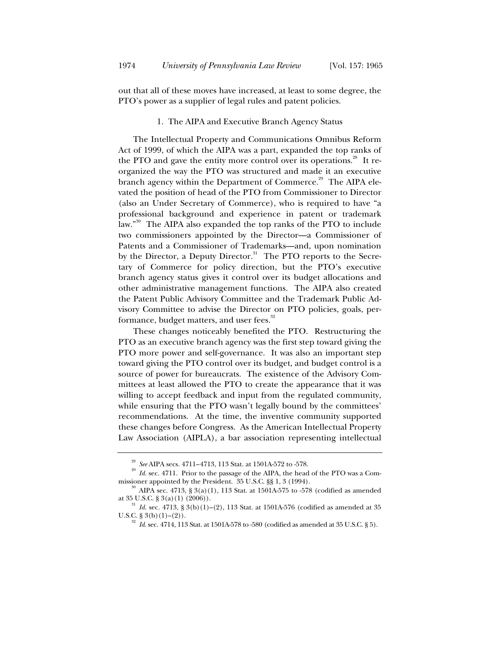out that all of these moves have increased, at least to some degree, the PTO's power as a supplier of legal rules and patent policies.

#### 1. The AIPA and Executive Branch Agency Status

The Intellectual Property and Communications Omnibus Reform Act of 1999, of which the AIPA was a part, expanded the top ranks of the PTO and gave the entity more control over its operations.<sup>28</sup> It reorganized the way the PTO was structured and made it an executive branch agency within the Department of Commerce.<sup>29</sup> The AIPA elevated the position of head of the PTO from Commissioner to Director (also an Under Secretary of Commerce), who is required to have "a professional background and experience in patent or trademark law."<sup>30</sup> The AIPA also expanded the top ranks of the PTO to include two commissioners appointed by the Director—a Commissioner of Patents and a Commissioner of Trademarks—and, upon nomination by the Director, a Deputy Director.<sup>31</sup> The PTO reports to the Secretary of Commerce for policy direction, but the PTO's executive branch agency status gives it control over its budget allocations and other administrative management functions. The AIPA also created the Patent Public Advisory Committee and the Trademark Public Advisory Committee to advise the Director on PTO policies, goals, performance, budget matters, and user fees.<sup>32</sup>

These changes noticeably benefited the PTO. Restructuring the PTO as an executive branch agency was the first step toward giving the PTO more power and self-governance. It was also an important step toward giving the PTO control over its budget, and budget control is a source of power for bureaucrats. The existence of the Advisory Committees at least allowed the PTO to create the appearance that it was willing to accept feedback and input from the regulated community, while ensuring that the PTO wasn't legally bound by the committees' recommendations. At the time, the inventive community supported these changes before Congress. As the American Intellectual Property Law Association (AIPLA), a bar association representing intellectual

<sup>&</sup>lt;sup>28</sup> *See* AIPA secs. 4711–4713, 113 Stat. at 1501A-572 to -578.<br><sup>29</sup> *Id.* sec. 4711. Prior to the passage of the AIPA, the head of the PTO was a Com-<br>missioner appointed by the President. 35 U.S.C. §§ 1, 3 (1994).

 $^{30}$  AIPA sec. 4713, § 3(a)(1), 113 Stat. at 1501A-575 to -578 (codified as amended

at  $35 \text{ U.S. C. }$  §  $3(a)(1)$  (2006)).<br><sup>31</sup> *Id.* sec. 4713, §  $3(b)(1)-(2)$ , 113 Stat. at 1501A-576 (codified as amended at 35 U.S.C. §  $3(b)(1)-(2)$ ).

Id. sec. 4714, 113 Stat. at 1501A-578 to -580 (codified as amended at 35 U.S.C. § 5).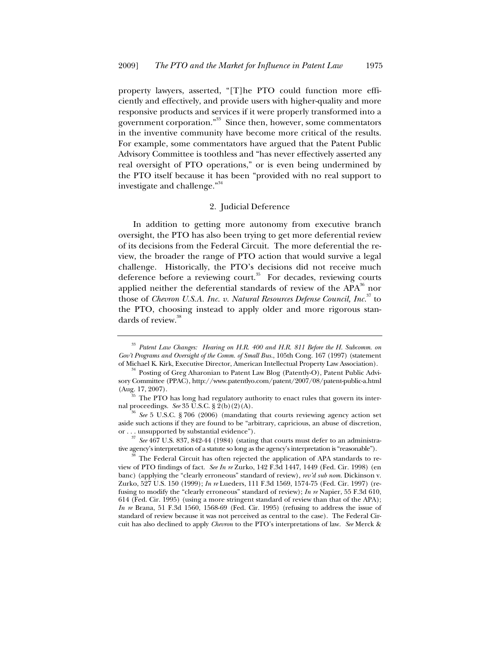property lawyers, asserted, "[T]he PTO could function more efficiently and effectively, and provide users with higher-quality and more responsive products and services if it were properly transformed into a government corporation."33 Since then, however, some commentators in the inventive community have become more critical of the results. For example, some commentators have argued that the Patent Public Advisory Committee is toothless and "has never effectively asserted any real oversight of PTO operations," or is even being undermined by the PTO itself because it has been "provided with no real support to investigate and challenge."<sup>34</sup>

#### 2. Judicial Deference

In addition to getting more autonomy from executive branch oversight, the PTO has also been trying to get more deferential review of its decisions from the Federal Circuit. The more deferential the review, the broader the range of PTO action that would survive a legal challenge. Historically, the PTO's decisions did not receive much deference before a reviewing court.<sup>35</sup> For decades, reviewing courts applied neither the deferential standards of review of the  $APA^{36}$  nor those of *Chevron U.S.A. Inc. v. Natural Resources Defense Council, Inc.*37 to the PTO, choosing instead to apply older and more rigorous standards of review.<sup>38</sup>

<sup>33</sup> *Patent Law Changes: Hearing on H.R. 400 and H.R. 811 Before the H. Subcomm. on Gov't Programs and Oversight of the Comm. of Small Bus.*, 105th Cong. 167 (1997) (statement

 $^4$  Posting of Greg Aharonian to Patent Law Blog (Patently-O), Patent Public Advisory Committee (PPAC), http://www.patentlyo.com/patent/2007/08/patent-public-a.html (Aug. 17, 2007).

The PTO has long had regulatory authority to enact rules that govern its internal proceedings. *See* 35 U.S.C. § 2(b)(2)(A).<br><sup>36</sup> *See* 5 U.S.C. § 706 (2006) (mandating that courts reviewing agency action set

aside such actions if they are found to be "arbitrary, capricious, an abuse of discretion, or ... unsupported by substantial evidence").

<sup>&</sup>lt;sup>37</sup> See 467 U.S. 837, 842-44 (1984) (stating that courts must defer to an administrative agency's interpretation of a statute so long as the agency's interpretation is "reasonable").

The Federal Circuit has often rejected the application of APA standards to review of PTO findings of fact. *See In re* Zurko, 142 F.3d 1447, 1449 (Fed. Cir. 1998) (en banc) (applying the "clearly erroneous" standard of review), *rev'd sub nom.* Dickinson v. Zurko, 527 U.S. 150 (1999); *In re* Lueders, 111 F.3d 1569, 1574-75 (Fed. Cir. 1997) (refusing to modify the "clearly erroneous" standard of review); *In re* Napier, 55 F.3d 610, 614 (Fed. Cir. 1995) (using a more stringent standard of review than that of the APA); *In re* Brana, 51 F.3d 1560, 1568-69 (Fed. Cir. 1995) (refusing to address the issue of standard of review because it was not perceived as central to the case). The Federal Circuit has also declined to apply *Chevron* to the PTO's interpretations of law. *See* Merck &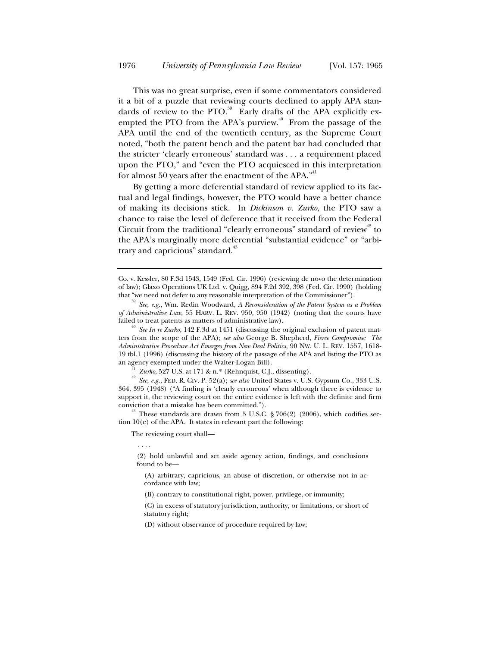This was no great surprise, even if some commentators considered it a bit of a puzzle that reviewing courts declined to apply APA standards of review to the PTO.<sup>39</sup> Early drafts of the APA explicitly exempted the PTO from the APA's purview.<sup>40</sup> From the passage of the APA until the end of the twentieth century, as the Supreme Court noted, "both the patent bench and the patent bar had concluded that the stricter 'clearly erroneous' standard was . . . a requirement placed upon the PTO," and "even the PTO acquiesced in this interpretation for almost 50 years after the enactment of the APA." $1$ 

By getting a more deferential standard of review applied to its factual and legal findings, however, the PTO would have a better chance of making its decisions stick. In *Dickinson v. Zurko*, the PTO saw a chance to raise the level of deference that it received from the Federal Circuit from the traditional "clearly erroneous" standard of review<sup>42</sup> to the APA's marginally more deferential "substantial evidence" or "arbitrary and capricious" standard.<sup>43</sup>

tion 10(e) of the APA. It states in relevant part the following:

The reviewing court shall—

. . . .

(2) hold unlawful and set aside agency action, findings, and conclusions found to be-

(A) arbitrary, capricious, an abuse of discretion, or otherwise not in accordance with law;

(B) contrary to constitutional right, power, privilege, or immunity;

(D) without observance of procedure required by law;

Co. v. Kessler, 80 F.3d 1543, 1549 (Fed. Cir. 1996) (reviewing de novo the determination of law); Glaxo Operations UK Ltd. v. Quigg, 894 F.2d 392, 398 (Fed. Cir. 1990) (holding that "we need not defer to any reasonable interpretation of the Commissioner").

<sup>&</sup>lt;sup>39</sup> See, e.g., Wm. Redin Woodward, *A Reconsideration of the Patent System as a Problem of Administrative Law*, 55 HARV. L. REV. 950, 950 (1942) (noting that the courts have failed to treat patents as matters of administrative law).<br><sup>40</sup> *See In re Zurko*, 142 F.3d at 1451 (discussing the original exclusion of patent mat-

ters from the scope of the APA); *see also* George B. Shepherd, *Fierce Compromise: The Administrative Procedure Act Emerges from New Deal Politics*, 90 NW. U. L. REV. 1557, 1618- 19 tbl.1 (1996) (discussing the history of the passage of the APA and listing the PTO as

<sup>&</sup>lt;sup>41</sup> *Zurko*, 527 U.S. at 171 & n.\* (Rehnquist, C.J., dissenting). <sup>42</sup> *See, e.g.*, FED. R. CIV. P. 52(a); *see also* United States v. U.S. Gypsum Co., 333 U.S. 364, 395 (1948) ("A finding is 'clearly erroneous' when although there is evidence to support it, the reviewing court on the entire evidence is left with the definite and firm conviction that a mistake has been committed.").<br><sup>43</sup> These standards are drawn from 5 U.S.C. § 706(2) (2006), which codifies sec-

<sup>(</sup>C) in excess of statutory jurisdiction, authority, or limitations, or short of statutory right;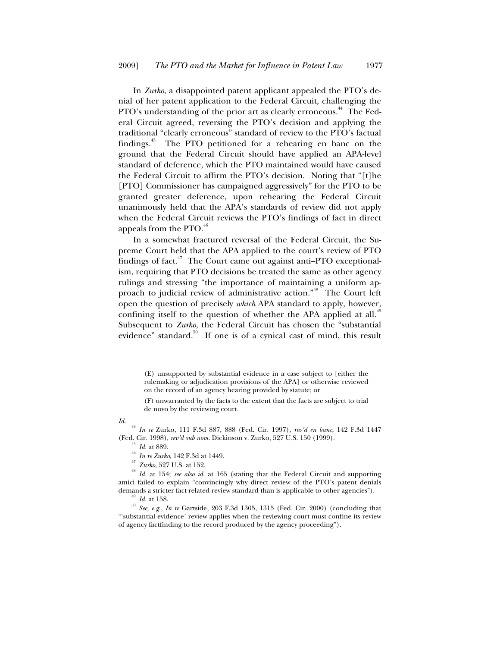In *Zurko*, a disappointed patent applicant appealed the PTO's denial of her patent application to the Federal Circuit, challenging the PTO's understanding of the prior art as clearly erroneous.<sup>44</sup> The Federal Circuit agreed, reversing the PTO's decision and applying the traditional "clearly erroneous" standard of review to the PTO's factual findings.<sup>45</sup> The PTO petitioned for a rehearing en banc on the ground that the Federal Circuit should have applied an APA-level standard of deference, which the PTO maintained would have caused the Federal Circuit to affirm the PTO's decision. Noting that "[t]he [PTO] Commissioner has campaigned aggressively" for the PTO to be granted greater deference, upon rehearing the Federal Circuit unanimously held that the APA's standards of review did not apply when the Federal Circuit reviews the PTO's findings of fact in direct appeals from the  $\text{PTO.}^{46}$ 

In a somewhat fractured reversal of the Federal Circuit, the Supreme Court held that the APA applied to the court's review of PTO findings of fact.<sup> $47$ </sup> The Court came out against anti-PTO exceptionalism, requiring that PTO decisions be treated the same as other agency rulings and stressing "the importance of maintaining a uniform approach to judicial review of administrative action."<sup>48</sup> The Court left open the question of precisely *which* APA standard to apply, however, confining itself to the question of whether the APA applied at all.<sup>49</sup> Subsequent to *Zurko*, the Federal Circuit has chosen the "substantial evidence" standard. $50$  If one is of a cynical cast of mind, this result

*Id.*

<sup>44</sup> *In re* Zurko, 111 F.3d 887, 888 (Fed. Cir. 1997), *rev'd en banc*, 142 F.3d 1447

<sup>(</sup>E) unsupported by substantial evidence in a case subject to [either the rulemaking or adjudication provisions of the APA] or otherwise reviewed on the record of an agency hearing provided by statute; or

<sup>(</sup>F) unwarranted by the facts to the extent that the facts are subject to trial de novo by the reviewing court.

<sup>(</sup>Fed. Cir. 1998), rev'd sub nom. Dickinson v. Zurko, 527 U.S. 150 (1999).<br>
<sup>45</sup> *Id.* at 889.<br>
<sup>46</sup> *In re Zurko*, 142 F.3d at 1449.<br>
<sup>47</sup> *Zurko*, 527 U.S. at 152.<br>
<sup>48</sup> *Id.* at 154; *see also id.* at 165 (stating that amici failed to explain "convincingly why direct review of the PTO's patent denials

demands a stricter fact-related review standard than is applicable to other agencies").<br><sup>49</sup> *Id.* at 158.<br><sup>50</sup> *See, e.g., In re* Gartside, 203 F.3d 1305, 1315 (Fed. Cir. 2000) (concluding that "'substantial evidence' review applies when the reviewing court must confine its review of agency factfinding to the record produced by the agency proceeding").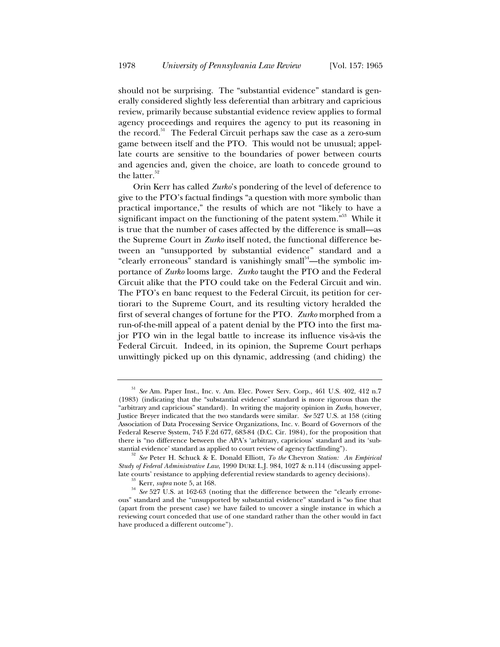should not be surprising. The "substantial evidence" standard is generally considered slightly less deferential than arbitrary and capricious review, primarily because substantial evidence review applies to formal agency proceedings and requires the agency to put its reasoning in the record.<sup>51</sup> The Federal Circuit perhaps saw the case as a zero-sum game between itself and the PTO. This would not be unusual; appellate courts are sensitive to the boundaries of power between courts and agencies and, given the choice, are loath to concede ground to the latter. $52$ 

Orin Kerr has called *Zurko*'s pondering of the level of deference to give to the PTO's factual findings "a question with more symbolic than practical importance," the results of which are not "likely to have a significant impact on the functioning of the patent system."<sup>53</sup> While it is true that the number of cases affected by the difference is small—as the Supreme Court in *Zurko* itself noted, the functional difference between an "unsupported by substantial evidence" standard and a "clearly erroneous" standard is vanishingly small $\alpha$ <sup>54</sup>—the symbolic importance of *Zurko* looms large. *Zurko* taught the PTO and the Federal Circuit alike that the PTO could take on the Federal Circuit and win. The PTO's en banc request to the Federal Circuit, its petition for certiorari to the Supreme Court, and its resulting victory heralded the first of several changes of fortune for the PTO. *Zurko* morphed from a run-of-the-mill appeal of a patent denial by the PTO into the first major PTO win in the legal battle to increase its influence vis-à-vis the Federal Circuit. Indeed, in its opinion, the Supreme Court perhaps unwittingly picked up on this dynamic, addressing (and chiding) the

<sup>51</sup> *See* Am. Paper Inst., Inc. v. Am. Elec. Power Serv. Corp., 461 U.S. 402, 412 n.7 (1983) (indicating that the "substantial evidence" standard is more rigorous than the "arbitrary and capricious" standard). In writing the majority opinion in *Zurko*, however, Justice Breyer indicated that the two standards were similar. *See* 527 U.S. at 158 (citing Association of Data Processing Service Organizations, Inc. v. Board of Governors of the Federal Reserve System, 745 F.2d 677, 683-84 (D.C. Cir. 1984), for the proposition that there is "no difference between the APA's 'arbitrary, capricious' standard and its 'sub-

stantial evidence' standard as applied to court review of agency factfinding"). 52 *See* Peter H. Schuck & E. Donald Elliott, *To the* Chevron *Station: An Empirical Study of Federal Administrative Law*, 1990 DUKE L.J. 984, 1027 & n.114 (discussing appel-

late courts' resistance to applying deferential review standards to agency decisions).<br><sup>53</sup> Kerr, *supra* note 5, at 168.<br><sup>54</sup> *See* 527 U.S. at 162-63 (noting that the difference between the "clearly erroneous" standard and the "unsupported by substantial evidence" standard is "so fine that (apart from the present case) we have failed to uncover a single instance in which a reviewing court conceded that use of one standard rather than the other would in fact have produced a different outcome").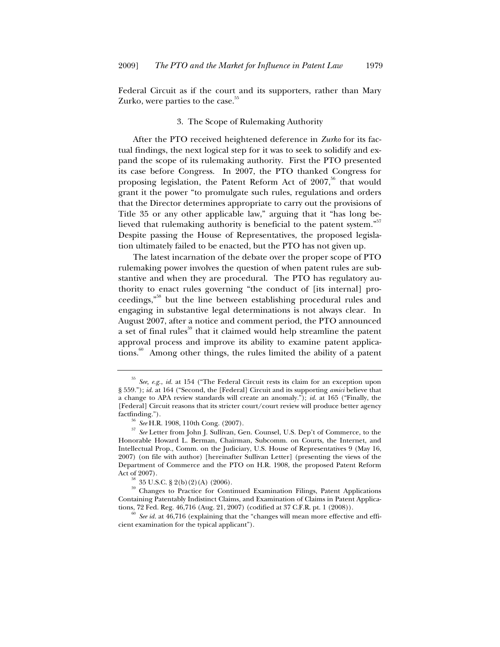Federal Circuit as if the court and its supporters, rather than Mary Zurko, were parties to the case.<sup>55</sup>

## 3. The Scope of Rulemaking Authority

After the PTO received heightened deference in *Zurko* for its factual findings, the next logical step for it was to seek to solidify and expand the scope of its rulemaking authority. First the PTO presented its case before Congress. In 2007, the PTO thanked Congress for proposing legislation, the Patent Reform Act of  $2007$ ,<sup>56</sup> that would grant it the power "to promulgate such rules, regulations and orders that the Director determines appropriate to carry out the provisions of Title 35 or any other applicable law," arguing that it "has long believed that rulemaking authority is beneficial to the patent system."<sup>57</sup> Despite passing the House of Representatives, the proposed legislation ultimately failed to be enacted, but the PTO has not given up.

The latest incarnation of the debate over the proper scope of PTO rulemaking power involves the question of when patent rules are substantive and when they are procedural. The PTO has regulatory authority to enact rules governing "the conduct of [its internal] proceedings,"58 but the line between establishing procedural rules and engaging in substantive legal determinations is not always clear. In August 2007, after a notice and comment period, the PTO announced a set of final rules<sup>59</sup> that it claimed would help streamline the patent approval process and improve its ability to examine patent applications.<sup>60</sup> Among other things, the rules limited the ability of a patent

<sup>55</sup> *See, e.g.*, *id.* at 154 ("The Federal Circuit rests its claim for an exception upon § 559."); *id.* at 164 ("Second, the [Federal] Circuit and its supporting *amici* believe that a change to APA review standards will create an anomaly."); *id.* at 165 ("Finally, the [Federal] Circuit reasons that its stricter court/court review will produce better agency factfinding.").

<sup>56</sup> *See* H.R. 1908, 110th Cong. (2007). 57 *See* Letter from John J. Sullivan, Gen. Counsel, U.S. Dep't of Commerce, to the Honorable Howard L. Berman, Chairman, Subcomm. on Courts, the Internet, and Intellectual Prop., Comm. on the Judiciary, U.S. House of Representatives 9 (May 16, 2007) (on file with author) [hereinafter Sullivan Letter] (presenting the views of the Department of Commerce and the PTO on H.R. 1908, the proposed Patent Reform

Act of 2007).<br><sup>58</sup> 35 U.S.C. § 2(b)(2)(A) (2006).<br><sup>59</sup> Changes to Practice for Continued Examination Filings, Patent Applications Containing Patentably Indistinct Claims, and Examination of Claims in Patent Applica-

tions, 72 Fed. Reg. 46,716 (Aug. 21, 2007) (codified at 37 C.F.R. pt. 1 (2008)).  $\frac{60}{100}$  *See id.* at 46,716 (explaining that the "changes will mean more effective and efficient examination for the typical applicant").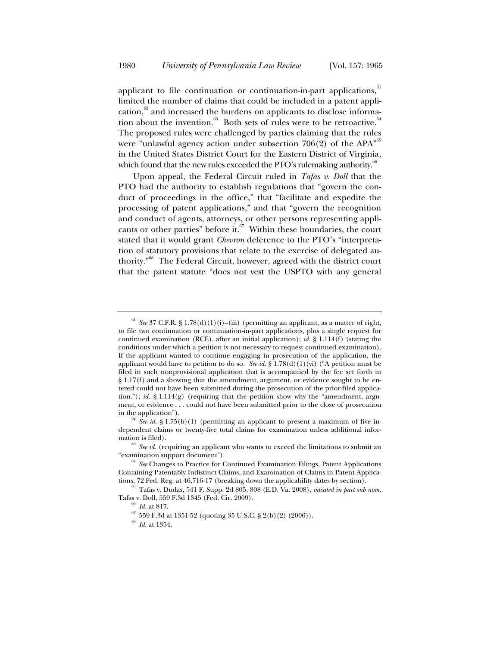applicant to file continuation or continuation-in-part applications, $61$ limited the number of claims that could be included in a patent application, $62$  and increased the burdens on applicants to disclose information about the invention. $63$  Both sets of rules were to be retroactive.<sup>64</sup> The proposed rules were challenged by parties claiming that the rules were "unlawful agency action under subsection  $706(2)$  of the APA<sup> $55$ </sup> in the United States District Court for the Eastern District of Virginia, which found that the new rules exceeded the PTO's rulemaking authority.<sup><sup>66</sup></sup>

Upon appeal, the Federal Circuit ruled in *Tafas v. Doll* that the PTO had the authority to establish regulations that "govern the conduct of proceedings in the office," that "facilitate and expedite the processing of patent applications," and that "govern the recognition and conduct of agents, attorneys, or other persons representing applicants or other parties" before it. $67$  Within these boundaries, the court stated that it would grant *Chevron* deference to the PTO's "interpretation of statutory provisions that relate to the exercise of delegated authority."68 The Federal Circuit, however, agreed with the district court that the patent statute "does not vest the USPTO with any general

<sup>61</sup> *See* 37 C.F.R. § 1.78(d)(1)(i)–(iii) (permitting an applicant, as a matter of right, to file two continuation or continuation-in-part applications, plus a single request for continued examination (RCE), after an initial application); *id.* § 1.114(f) (stating the conditions under which a petition is not necessary to request continued examination). If the applicant wanted to continue engaging in prosecution of the application, the applicant would have to petition to do so. *See id.* § 1.78(d)(1)(vi) ("A petition must be filed in such nonprovisional application that is accompanied by the fee set forth in § 1.17(f) and a showing that the amendment, argument, or evidence sought to be entered could not have been submitted during the prosecution of the prior-filed application."); *id.*  $\S 1.114(g)$  (requiring that the petition show why the "amendment, argument, or evidence . . . could not have been submitted prior to the close of prosecution

in the application").<br><sup>62</sup> *See id.* § 1.75(b)(1) (permitting an applicant to present a maximum of five independent claims or twenty-five total claims for examination unless additional infor-

mation is filed).<br><sup>63</sup> *See id.* (requiring an applicant who wants to exceed the limitations to submit an "examination support document").

<sup>&</sup>lt;sup>64</sup> See Changes to Practice for Continued Examination Filings, Patent Applications Containing Patentably Indistinct Claims, and Examination of Claims in Patent Applica-

tions, 72 Fed. Reg. at 46,716-17 (breaking down the applicability dates by section). 65 Tafas v. Dudas, 541 F. Supp. 2d 805, 808 (E.D. Va. 2008), *vacated in part sub nom.* Tafas v. Doll, 559 F.3d 1345 (Fed. Cir. 2009). 66 *Id.* at 817. 67 559 F.3d at 1351-52 (quoting 35 U.S.C. § 2(b)(2) (2006)). 68 *Id.* at 1354.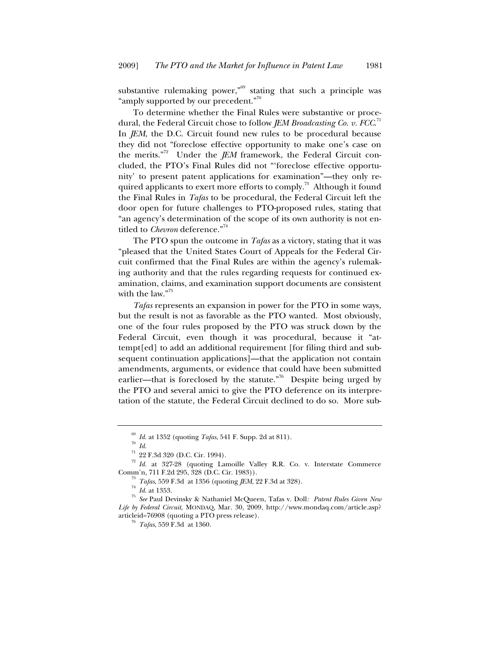substantive rulemaking power,"<sup>69</sup> stating that such a principle was "amply supported by our precedent."<sup>70</sup>

To determine whether the Final Rules were substantive or procedural, the Federal Circuit chose to follow *JEM Broadcasting Co. v. FCC.*  $^{\text{71}}$ In *JEM*, the D.C. Circuit found new rules to be procedural because they did not "foreclose effective opportunity to make one's case on the merits."<sup>72</sup> Under the *JEM* framework, the Federal Circuit concluded, the PTO's Final Rules did not "'foreclose effective opportunity' to present patent applications for examination"—they only required applicants to exert more efforts to comply.<sup>73</sup> Although it found the Final Rules in *Tafas* to be procedural, the Federal Circuit left the door open for future challenges to PTO-proposed rules, stating that "an agency's determination of the scope of its own authority is not entitled to *Chevron* deference."<sup>74</sup>

The PTO spun the outcome in *Tafas* as a victory, stating that it was "pleased that the United States Court of Appeals for the Federal Circuit confirmed that the Final Rules are within the agency's rulemaking authority and that the rules regarding requests for continued examination, claims, and examination support documents are consistent with the law."<sup>75</sup>

*Tafas* represents an expansion in power for the PTO in some ways, but the result is not as favorable as the PTO wanted. Most obviously, one of the four rules proposed by the PTO was struck down by the Federal Circuit, even though it was procedural, because it "attempt[ed] to add an additional requirement [for filing third and subsequent continuation applications]—that the application not contain amendments, arguments, or evidence that could have been submitted earlier—that is foreclosed by the statute."<sup>76</sup> Despite being urged by the PTO and several amici to give the PTO deference on its interpretation of the statute, the Federal Circuit declined to do so. More sub-

<sup>&</sup>lt;sup>69</sup> *Id.* at 1352 (quoting *Tafas*, 541 F. Supp. 2d at 811).<br><sup>71</sup> *Id.* 22 F.3d 320 (D.C. Cir. 1994).<br><sup>72</sup> *Id.* at 327-28 (quoting Lamoille Valley R.R. Co. v. Interstate Commerce

Comm'n, 711 F.2d 295, 328 (D.C. Cir. 1983)).<br>
<sup>73</sup> *Tafas*, 559 F.3d at 1356 (quoting *JEM*, 22 F.3d at 328).<br>
<sup>74</sup> *Id.* at 1353.<br>
<sup>75</sup> *See* Paul Devinsky & Nathaniel McQueen, Tafas v. Doll: *Patent Rules Given New Life by Federal Circuit*, MONDAQ, Mar. 30, 2009, http://www.mondaq.com/article.asp? articleid=76908 (quoting a PTO press release). 76 *Tafas*, 559 F.3d at 1360.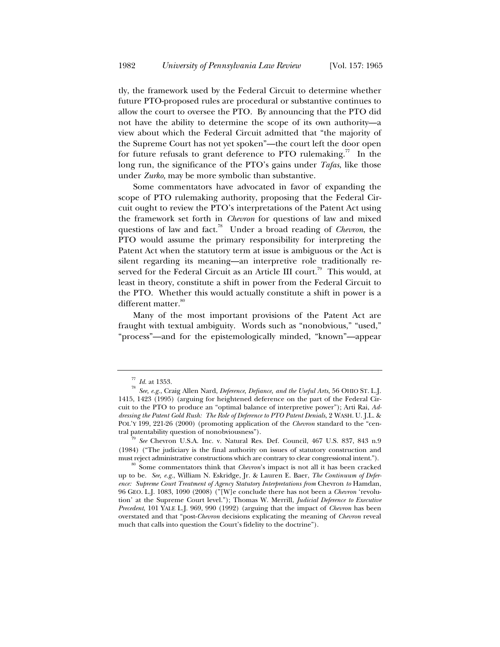tly, the framework used by the Federal Circuit to determine whether future PTO-proposed rules are procedural or substantive continues to allow the court to oversee the PTO. By announcing that the PTO did not have the ability to determine the scope of its own authority—a view about which the Federal Circuit admitted that "the majority of the Supreme Court has not yet spoken"—the court left the door open for future refusals to grant deference to PTO rulemaking.<sup>77</sup> In the long run, the significance of the PTO's gains under *Tafas*, like those under *Zurko,* may be more symbolic than substantive.

Some commentators have advocated in favor of expanding the scope of PTO rulemaking authority, proposing that the Federal Circuit ought to review the PTO's interpretations of the Patent Act using the framework set forth in *Chevron* for questions of law and mixed questions of law and fact.78 Under a broad reading of *Chevron*, the PTO would assume the primary responsibility for interpreting the Patent Act when the statutory term at issue is ambiguous or the Act is silent regarding its meaning—an interpretive role traditionally reserved for the Federal Circuit as an Article III court.<sup>79</sup> This would, at least in theory, constitute a shift in power from the Federal Circuit to the PTO. Whether this would actually constitute a shift in power is a different matter.<sup>80</sup>

Many of the most important provisions of the Patent Act are fraught with textual ambiguity. Words such as "nonobvious," "used," "process"—and for the epistemologically minded, "known"—appear

*Id.* at 1353.<br>See, e.g., Craig Allen Nard, *Deference, Defiance, and the Useful Arts*, 56 OHIO ST. L.J. 1415, 1423 (1995) (arguing for heightened deference on the part of the Federal Circuit to the PTO to produce an "optimal balance of interpretive power"); Arti Rai, *Addressing the Patent Gold Rush: The Role of Deference to PTO Patent Denials*, 2 WASH. U. J.L. & POL'Y 199, 221-26 (2000) (promoting application of the *Chevron* standard to the "cen-

<sup>&</sup>lt;sup>9</sup> See Chevron U.S.A. Inc. v. Natural Res. Def. Council, 467 U.S. 837, 843 n.9 (1984) ("The judiciary is the final authority on issues of statutory construction and

<sup>&</sup>lt;sup>80</sup> Some commentators think that *Chevron*'s impact is not all it has been cracked up to be. *See, e.g.*, William N. Eskridge, Jr. & Lauren E. Baer, *The Continuum of Deference: Supreme Court Treatment of Agency Statutory Interpretations from* Chevron *to* Hamdan, 96 GEO. L.J. 1083, 1090 (2008) ("[W]e conclude there has not been a *Chevron* 'revolution' at the Supreme Court level."); Thomas W. Merrill, *Judicial Deference to Executive Precedent*, 101 YALE L.J. 969, 990 (1992) (arguing that the impact of *Chevron* has been overstated and that "post-*Chevron* decisions explicating the meaning of *Chevron* reveal much that calls into question the Court's fidelity to the doctrine").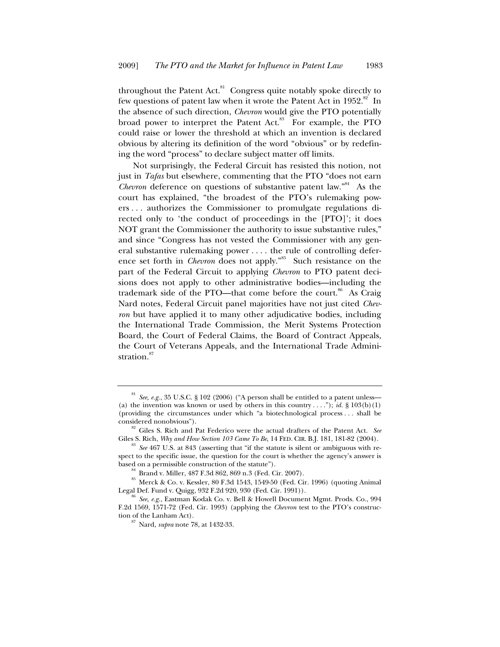throughout the Patent Act. $81$  Congress quite notably spoke directly to few questions of patent law when it wrote the Patent Act in  $1952$ .<sup>82</sup> In the absence of such direction, *Chevron* would give the PTO potentially broad power to interpret the Patent Act.<sup>83</sup> For example, the PTO could raise or lower the threshold at which an invention is declared obvious by altering its definition of the word "obvious" or by redefining the word "process" to declare subject matter off limits.

Not surprisingly, the Federal Circuit has resisted this notion, not just in *Tafas* but elsewhere, commenting that the PTO "does not earn *Chevron* deference on questions of substantive patent law."<sup>84</sup> As the court has explained, "the broadest of the PTO's rulemaking powers . . . authorizes the Commissioner to promulgate regulations directed only to 'the conduct of proceedings in the [PTO]'; it does NOT grant the Commissioner the authority to issue substantive rules," and since "Congress has not vested the Commissioner with any general substantive rulemaking power . . . . the rule of controlling deference set forth in *Chevron* does not apply."<sup>85</sup> Such resistance on the part of the Federal Circuit to applying *Chevron* to PTO patent decisions does not apply to other administrative bodies—including the trademark side of the PTO—that come before the court.<sup>86</sup> As Craig Nard notes, Federal Circuit panel majorities have not just cited *Chevron* but have applied it to many other adjudicative bodies, including the International Trade Commission, the Merit Systems Protection Board, the Court of Federal Claims, the Board of Contract Appeals, the Court of Veterans Appeals, and the International Trade Administration.<sup>87</sup>

<sup>&</sup>lt;sup>81</sup> *See, e.g.*, 35 U.S.C. § 102 (2006) ("A person shall be entitled to a patent unless— (a) the invention was known or used by others in this country . . . ."); *id.*  $\S 103(b)(1)$ (providing the circumstances under which "a biotechnological process . . . shall be

considered nonobvious").<br><sup>82</sup> Giles S. Rich and Pat Federico were the actual drafters of the Patent Act. *See*<br>Giles S. Rich, *Why and How Section 103 Came To Be*, 14 FED. CIR. B.J. 181., 181-82 (2004).

See 467 U.S. at 843 (asserting that "if the statute is silent or ambiguous with respect to the specific issue, the question for the court is whether the agency's answer is based on a permissible construction of the statute").

<sup>&</sup>lt;sup>84</sup> Brand v. Miller, 487 F.3d 862, 869 n.3 (Fed. Cir. 2007).<br><sup>85</sup> Merck & Co. v. Kessler, 80 F.3d 1543, 1549-50 (Fed. Cir. 1996) (quoting Animal<br>Legal Def. Fund v. Quigg, 932 F.2d 920, 930 (Fed. Cir. 1991)).

See, e.g., Eastman Kodak Co. v. Bell & Howell Document Mgmt. Prods. Co., 994 F.2d 1569, 1571-72 (Fed. Cir. 1993) (applying the *Chevron* test to the PTO's construc-

<sup>&</sup>lt;sup>87</sup> Nard, *supra* note 78, at 1432-33.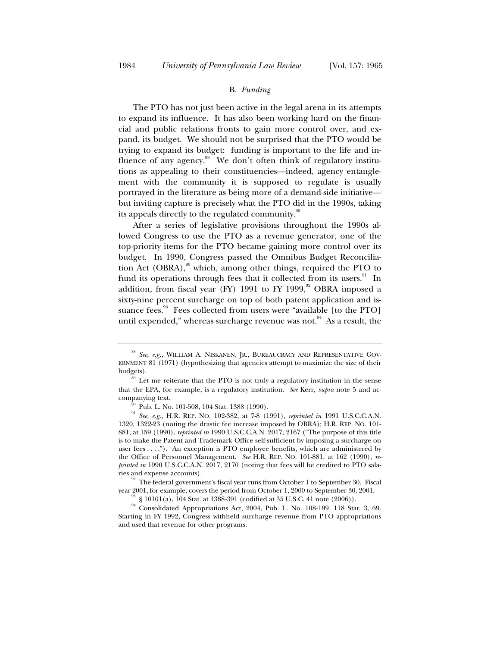#### B. *Funding*

The PTO has not just been active in the legal arena in its attempts to expand its influence. It has also been working hard on the financial and public relations fronts to gain more control over, and expand, its budget. We should not be surprised that the PTO would be trying to expand its budget: funding is important to the life and influence of any agency.<sup>88</sup> We don't often think of regulatory institutions as appealing to their constituencies—indeed, agency entanglement with the community it is supposed to regulate is usually portrayed in the literature as being more of a demand-side initiative but inviting capture is precisely what the PTO did in the 1990s, taking its appeals directly to the regulated community.<sup>89</sup>

After a series of legislative provisions throughout the 1990s allowed Congress to use the PTO as a revenue generator, one of the top-priority items for the PTO became gaining more control over its budget. In 1990, Congress passed the Omnibus Budget Reconciliation Act (OBRA), $90$ <sup>0</sup> which, among other things, required the PTO to fund its operations through fees that it collected from its users. $91$  In addition, from fiscal year (FY) 1991 to FY 1999, $92$  OBRA imposed a sixty-nine percent surcharge on top of both patent application and issuance fees. $93$  Fees collected from users were "available [to the PTO] until expended," whereas surcharge revenue was not. $94$  As a result, the

<sup>88</sup> *See, e.g.*, WILLIAM A. NISKANEN, JR., BUREAUCRACY AND REPRESENTATIVE GOV-ERNMENT 81 (1971) (hypothesizing that agencies attempt to maximize the size of their budgets).<br><sup>89</sup> Let me reiterate that the PTO is not truly a regulatory institution in the sense

that the EPA, for example, is a regulatory institution. *See* Kerr, *supra* note 5 and accompanying text. <sup>90</sup> Pub. L. No. 101-508, 104 Stat. 1388 (1990).<br><sup>91</sup> *See, e.g.*, H.R. REP. NO. 102-382, at 7-8 (1991), *reprinted in* 1991 U.S.C.C.A.N.

<sup>1320, 1322-23 (</sup>noting the drastic fee increase imposed by OBRA); H.R. REP. NO. 101- 881, at 159 (1990), *reprinted in* 1990 U.S.C.C.A.N. 2017, 2167 ("The purpose of this title is to make the Patent and Trademark Office self-sufficient by imposing a surcharge on user fees . . . ."). An exception is PTO employee benefits, which are administered by the Office of Personnel Management. *See* H.R. REP. NO. 101-881, at 162 (1990), *reprinted in* 1990 U.S.C.C.A.N. 2017, 2170 (noting that fees will be credited to PTO salaries and expense accounts). 92 The federal government's fiscal year runs from October 1 to September 30. Fiscal

year 2001, for example, covers the period from October 1, 2000 to September 30, 2001.<br><sup>93</sup> § 10101(a), 104 Stat. at 1388-391 (codified at 35 U.S.C. 41 note (2006)).<br><sup>94</sup> Consolidated Appropriations Act, 2004, Pub. L. No. 1

Starting in FY 1992, Congress withheld surcharge revenue from PTO appropriations and used that revenue for other programs.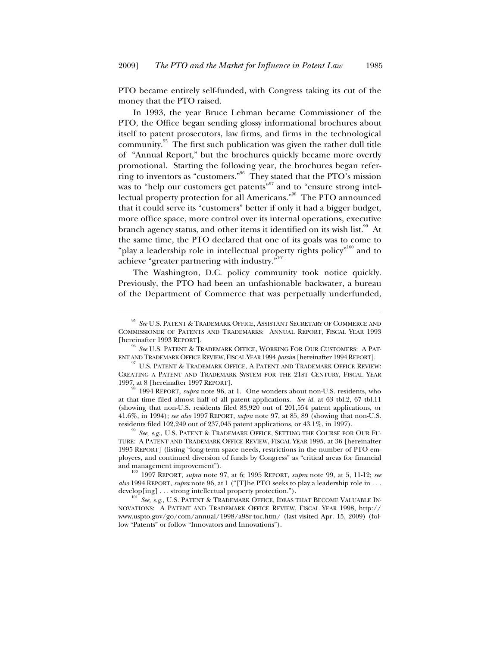PTO became entirely self-funded, with Congress taking its cut of the money that the PTO raised.

In 1993, the year Bruce Lehman became Commissioner of the PTO, the Office began sending glossy informational brochures about itself to patent prosecutors, law firms, and firms in the technological community. $95$  The first such publication was given the rather dull title of "Annual Report," but the brochures quickly became more overtly promotional. Starting the following year, the brochures began referring to inventors as "customers."96 They stated that the PTO's mission was to "help our customers get patents"<sup>97</sup> and to "ensure strong intellectual property protection for all Americans."<sup>98</sup> The PTO announced that it could serve its "customers" better if only it had a bigger budget, more office space, more control over its internal operations, executive branch agency status, and other items it identified on its wish list.<sup>99</sup> At the same time, the PTO declared that one of its goals was to come to "play a leadership role in intellectual property rights policy"<sup>100</sup> and to achieve "greater partnering with industry."<sup>101</sup>

The Washington, D.C. policy community took notice quickly. Previously, the PTO had been an unfashionable backwater, a bureau of the Department of Commerce that was perpetually underfunded,

<sup>95</sup> *See* U.S. PATENT & TRADEMARK OFFICE, ASSISTANT SECRETARY OF COMMERCE AND COMMISSIONER OF PATENTS AND TRADEMARKS: ANNUAL REPORT, FISCAL YEAR 1993 [hereinafter 1993 REPORT].

 $^{96}\,$  See U.S. PATENT & TRADEMARK OFFICE, WORKING FOR OUR CUSTOMERS: A PATENT AND TRADEMARK OFFICE REVIEW, FISCAL YEAR 1994 *passim* [hereinafter 1994 REPORT].

 $^{97}$ U.S. PATENT & TRADEMARK OFFICE, A PATENT AND TRADEMARK OFFICE REVIEW: CREATING A PATENT AND TRADEMARK SYSTEM FOR THE 21ST CENTURY, FISCAL YEAR 1997, at 8 [hereinafter 1997 REPORT].

<sup>98</sup> 1994 REPORT, *supra* note 96, at 1. One wonders about non-U.S. residents, who at that time filed almost half of all patent applications. *See id.* at 63 tbl.2, 67 tbl.11 (showing that non-U.S. residents filed 83,920 out of 201,554 patent applications, or 41.6%, in 1994); *see also* 1997 REPORT, *supra* note 97, at 85, 89 (showing that non-U.S. residents filed 102,249 out of 237,045 patent applications, or 43.1%, in 1997).<br><sup>99</sup> *See, e.g.*, U.S. PATENT & TRADEMARK OFFICE, SETTING THE COURSE FOR OUR FU-

TURE: APATENT AND TRADEMARK OFFICE REVIEW, FISCAL YEAR 1995, at 36 [hereinafter 1995 REPORT] (listing "long-term space needs, restrictions in the number of PTO employees, and continued diversion of funds by Congress" as "critical areas for financial

and management improvement"). 100 1997 REPORT, *supra* note 97, at 6; 1995 REPORT, *supra* note 99, at 5, 11-12; *see also* 1994 REPORT, *supra* note 96, at 1 ("[T]he PTO seeks to play a leadership role in . . . develop[ing] . . . strong intellectual property protection.").<br><sup>101</sup> *See, e.g.*, U.S. PATENT & TRADEMARK OFFICE, IDEAS THAT BECOME VALUABLE IN-

NOVATIONS: APATENT AND TRADEMARK OFFICE REVIEW, FISCAL YEAR 1998, http:// www.uspto.gov/go/com/annual/1998/a98r-toc.htm/ (last visited Apr. 15, 2009) (follow "Patents" or follow "Innovators and Innovations").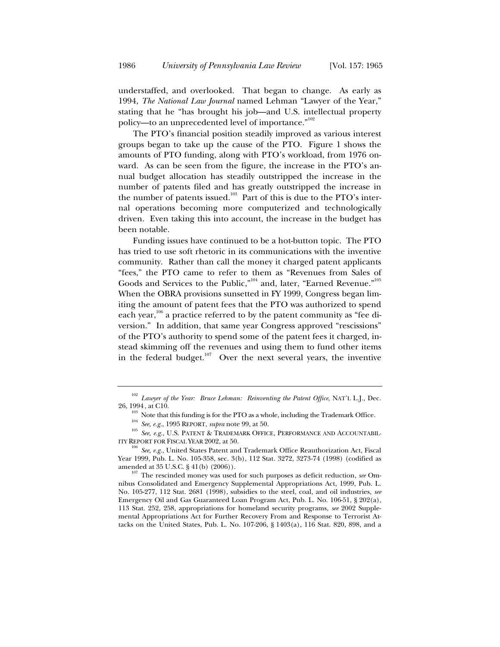understaffed, and overlooked. That began to change. As early as 1994, *The National Law Journal* named Lehman "Lawyer of the Year," stating that he "has brought his job—and U.S. intellectual property policy—to an unprecedented level of importance."<sup>102</sup>

The PTO's financial position steadily improved as various interest groups began to take up the cause of the PTO. Figure 1 shows the amounts of PTO funding, along with PTO's workload, from 1976 onward. As can be seen from the figure, the increase in the PTO's annual budget allocation has steadily outstripped the increase in the number of patents filed and has greatly outstripped the increase in the number of patents issued.<sup>103</sup> Part of this is due to the PTO's internal operations becoming more computerized and technologically driven. Even taking this into account, the increase in the budget has been notable.

Funding issues have continued to be a hot-button topic. The PTO has tried to use soft rhetoric in its communications with the inventive community. Rather than call the money it charged patent applicants "fees," the PTO came to refer to them as "Revenues from Sales of Goods and Services to the Public,"<sup>104</sup> and, later, "Earned Revenue."<sup>105</sup> When the OBRA provisions sunsetted in FY 1999, Congress began limiting the amount of patent fees that the PTO was authorized to spend each year,  $106$  a practice referred to by the patent community as "fee diversion." In addition, that same year Congress approved "rescissions" of the PTO's authority to spend some of the patent fees it charged, instead skimming off the revenues and using them to fund other items in the federal budget.<sup>107</sup> Over the next several years, the inventive

<sup>&</sup>lt;sup>102</sup> *Lawyer of the Year: Bruce Lehman: Reinventing the Patent Office*, NAT'L L.J., Dec. 26, 1994, at C10.

<sup>&</sup>lt;sup>103</sup> Note that this funding is for the PTO as a whole, including the Trademark Office.<br><sup>104</sup> See, e.g., 1995 REPORT, *supra* note 99, at 50.<br><sup>105</sup> See, e.g., U.S. PATENT & TRADEMARK OFFICE, PERFORMANCE AND ACCOUNTABIL-ITY REPORT FOR FISCAL YEAR 2002, at 50. 106 *See, e.g.*, United States Patent and Trademark Office Reauthorization Act, Fiscal

Year 1999, Pub. L. No. 105-358, sec. 3(b), 112 Stat. 3272, 3273-74 (1998) (codified as

 $107$  The rescinded money was used for such purposes as deficit reduction, *see* Omnibus Consolidated and Emergency Supplemental Appropriations Act, 1999, Pub. L. No. 105-277, 112 Stat. 2681 (1998), subsidies to the steel, coal, and oil industries, *see* Emergency Oil and Gas Guaranteed Loan Program Act, Pub. L. No. 106-51, § 202(a), 113 Stat. 252, 258, appropriations for homeland security programs, *see* 2002 Supplemental Appropriations Act for Further Recovery From and Response to Terrorist Attacks on the United States, Pub. L. No. 107-206, § 1403(a), 116 Stat. 820, 898, and a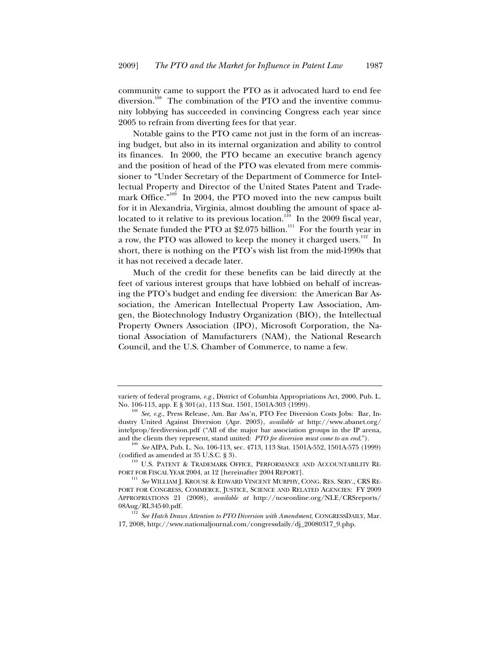community came to support the PTO as it advocated hard to end fee diversion.<sup>108</sup> The combination of the PTO and the inventive community lobbying has succeeded in convincing Congress each year since 2005 to refrain from diverting fees for that year.

Notable gains to the PTO came not just in the form of an increasing budget, but also in its internal organization and ability to control its finances. In 2000, the PTO became an executive branch agency and the position of head of the PTO was elevated from mere commissioner to "Under Secretary of the Department of Commerce for Intellectual Property and Director of the United States Patent and Trademark Office."<sup>109</sup> In 2004, the PTO moved into the new campus built for it in Alexandria, Virginia, almost doubling the amount of space allocated to it relative to its previous location.<sup>110</sup> In the 2009 fiscal year, the Senate funded the PTO at \$2.075 billion. $111$  For the fourth year in a row, the PTO was allowed to keep the money it charged users.<sup>112</sup> In short, there is nothing on the PTO's wish list from the mid-1990s that it has not received a decade later.

Much of the credit for these benefits can be laid directly at the feet of various interest groups that have lobbied on behalf of increasing the PTO's budget and ending fee diversion: the American Bar Association, the American Intellectual Property Law Association, Amgen, the Biotechnology Industry Organization (BIO), the Intellectual Property Owners Association (IPO), Microsoft Corporation, the National Association of Manufacturers (NAM), the National Research Council, and the U.S. Chamber of Commerce, to name a few.

variety of federal programs, *e.g.*, District of Columbia Appropriations Act, 2000, Pub. L.

No. 106-113, app. E § 301(a), 113 Stat. 1501, 1501A-303 (1999).<br><sup>108</sup> *See, e.g.*, Press Release, Am. Bar Ass'n, PTO Fee Diversion Costs Jobs: Bar, Industry United Against Diversion (Apr. 2003), *available at* http://www.abanet.org/ intelprop/feediversion.pdf ("All of the major bar association groups in the IP arena, and the clients they represent, stand united: *PTO fee diversion must come to an end*.").

<sup>109</sup> *See* AIPA, Pub. L. No. 106-113, sec. 4713, 113 Stat. 1501A-552, 1501A-575 (1999)

<sup>(</sup>codified as amended at 35 U.S.C. § 3). 110 U.S. PATENT & TRADEMARK OFFICE, PERFORMANCE AND ACCOUNTABILITY RE-PORT FOR FISCAL YEAR 2004, at 12 [hereinafter 2004 REPORT].

<sup>111</sup> *See* WILLIAM J. KROUSE & EDWARD VINCENT MURPHY, CONG. RES. SERV., CRS RE-PORT FOR CONGRESS, COMMERCE, JUSTICE, SCIENCE AND RELATED AGENCIES: FY 2009 APPROPRIATIONS 21 (2008), *available at* http://ncseonline.org/NLE/CRSreports/ 08Aug/RL34540.pdf.<br><sup>112</sup> *See Hatch Draws Attention to PTO Diversion with Amendment*, CONGRESSDAILY, Mar.

<sup>17, 2008,</sup> http://www.nationaljournal.com/congressdaily/dj\_20080317\_9.php.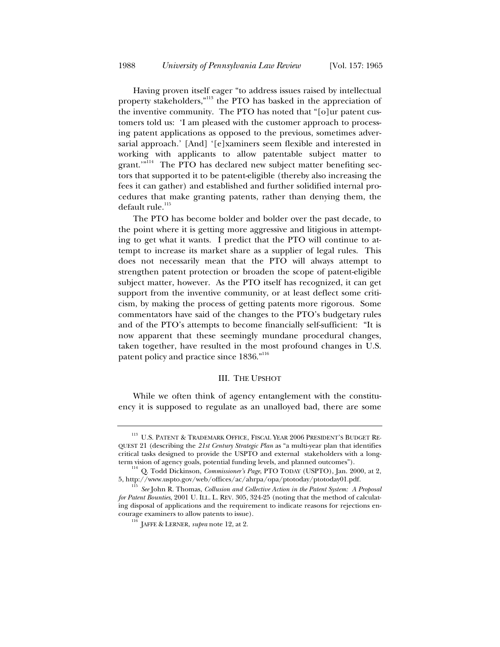Having proven itself eager "to address issues raised by intellectual property stakeholders,"<sup>113</sup> the PTO has basked in the appreciation of the inventive community. The PTO has noted that "[o]ur patent customers told us: 'I am pleased with the customer approach to processing patent applications as opposed to the previous, sometimes adversarial approach.' [And] '[e]xaminers seem flexible and interested in working with applicants to allow patentable subject matter to grant.'"<sup>114</sup> The PTO has declared new subject matter benefiting sectors that supported it to be patent-eligible (thereby also increasing the fees it can gather) and established and further solidified internal procedures that make granting patents, rather than denying them, the default rule.<sup>115</sup>

The PTO has become bolder and bolder over the past decade, to the point where it is getting more aggressive and litigious in attempting to get what it wants. I predict that the PTO will continue to attempt to increase its market share as a supplier of legal rules. This does not necessarily mean that the PTO will always attempt to strengthen patent protection or broaden the scope of patent-eligible subject matter, however. As the PTO itself has recognized, it can get support from the inventive community, or at least deflect some criticism, by making the process of getting patents more rigorous. Some commentators have said of the changes to the PTO's budgetary rules and of the PTO's attempts to become financially self-sufficient: "It is now apparent that these seemingly mundane procedural changes, taken together, have resulted in the most profound changes in U.S. patent policy and practice since 1836."<sup>116</sup>

#### III. THE UPSHOT

While we often think of agency entanglement with the constituency it is supposed to regulate as an unalloyed bad, there are some

 $^{113}$  U.S. PATENT & TRADEMARK OFFICE, FISCAL YEAR 2006 PRESIDENT'S BUDGET RE-QUEST 21 (describing the *21st Century Strategic Plan* as "a multi-year plan that identifies critical tasks designed to provide the USPTO and external stakeholders with a long-

term vision of agency goals, potential funding levels, and planned outcomes").<br><sup>114</sup> Q. Todd Dickinson, *Commissioner's Page*, PTO TODAY (USPTO), Jan. 2000, at 2,<br>5, http://www.uspto.gov/web/offices/ac/ahrpa/opa/ptotoday/p

<sup>5</sup>ee John R. Thomas, *Collusion and Collective Action in the Patent System: A Proposal for Patent Bounties*, 2001 U. ILL. L. REV. 305, 324-25 (noting that the method of calculating disposal of applications and the requirement to indicate reasons for rejections en-

 $^{116}$  JAFFE & LERNER, *supra* note 12, at 2.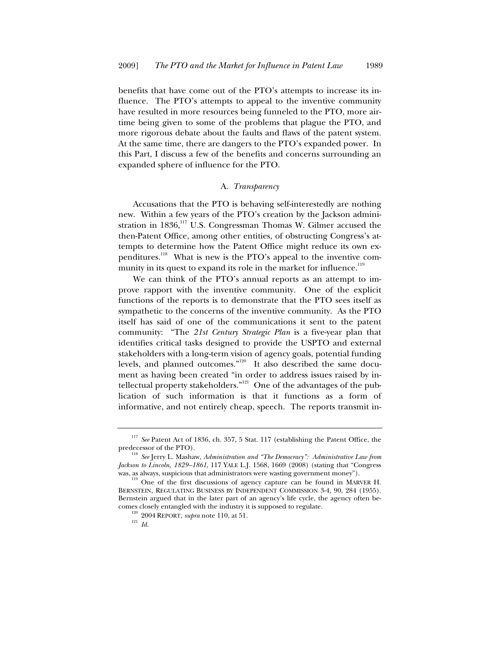benefits that have come out of the PTO's attempts to increase its influence. The PTO's attempts to appeal to the inventive community have resulted in more resources being funneled to the PTO, more airtime being given to some of the problems that plague the PTO, and more rigorous debate about the faults and flaws of the patent system. At the same time, there are dangers to the PTO's expanded power. In this Part, I discuss a few of the benefits and concerns surrounding an expanded sphere of influence for the PTO.

#### A. *Transparency*

Accusations that the PTO is behaving self-interestedly are nothing new. Within a few years of the PTO's creation by the Jackson administration in  $1836$ ,<sup>117</sup> U.S. Congressman Thomas W. Gilmer accused the then-Patent Office, among other entities, of obstructing Congress's attempts to determine how the Patent Office might reduce its own expenditures.<sup>118</sup> What is new is the PTO's appeal to the inventive community in its quest to expand its role in the market for influence.<sup>119</sup>

We can think of the PTO's annual reports as an attempt to improve rapport with the inventive community. One of the explicit functions of the reports is to demonstrate that the PTO sees itself as sympathetic to the concerns of the inventive community. As the PTO itself has said of one of the communications it sent to the patent community: "The *21st Century Strategic Plan* is a five-year plan that identifies critical tasks designed to provide the USPTO and external stakeholders with a long-term vision of agency goals, potential funding levels, and planned outcomes."<sup>120</sup> It also described the same document as having been created "in order to address issues raised by intellectual property stakeholders."<sup>121</sup> One of the advantages of the publication of such information is that it functions as a form of informative, and not entirely cheap, speech. The reports transmit in-

<sup>117</sup> *See* Patent Act of 1836, ch. 357, 5 Stat. 117 (establishing the Patent Office, the

predecessor of the PTO).<br><sup>118</sup> *See* Jerry L. Mashaw, *Administration and "The Democracy": Administrative Law from Jackson to Lincoln, 1829–1861*, 117 YALE L.J. 1568, 1669 (2008) (stating that "Congress

was, as always, suspicious that administrators were wasting government money"). One of the first discussions of agency capture can be found in MARVER H. BERNSTEIN, REGULATING BUSINESS BY INDEPENDENT COMMISSION 3-4, 90, 284 (1955). Bernstein argued that in the later part of an agency's life cycle, the agency often becomes closely entangled with the industry it is supposed to regulate.<br><sup>120</sup> 2004 REPORT, *supra* note 110, at 51.  $I_d$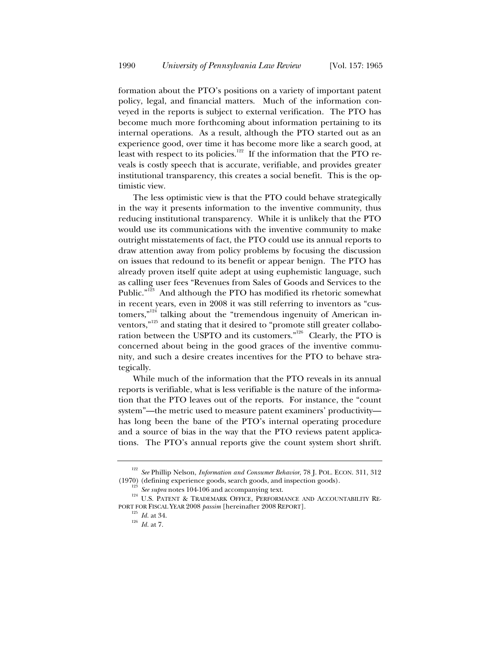formation about the PTO's positions on a variety of important patent policy, legal, and financial matters. Much of the information conveyed in the reports is subject to external verification. The PTO has become much more forthcoming about information pertaining to its internal operations. As a result, although the PTO started out as an experience good, over time it has become more like a search good, at least with respect to its policies.<sup>122</sup> If the information that the PTO reveals is costly speech that is accurate, verifiable, and provides greater institutional transparency, this creates a social benefit. This is the optimistic view.

The less optimistic view is that the PTO could behave strategically in the way it presents information to the inventive community, thus reducing institutional transparency. While it is unlikely that the PTO would use its communications with the inventive community to make outright misstatements of fact, the PTO could use its annual reports to draw attention away from policy problems by focusing the discussion on issues that redound to its benefit or appear benign. The PTO has already proven itself quite adept at using euphemistic language, such as calling user fees "Revenues from Sales of Goods and Services to the Public."<sup>123</sup> And although the PTO has modified its rhetoric somewhat in recent years, even in 2008 it was still referring to inventors as "customers,"<sup>124</sup> talking about the "tremendous ingenuity of American inventors, $\mathrm{^{3125}}$  and stating that it desired to "promote still greater collaboration between the USPTO and its customers."<sup>126</sup> Clearly, the PTO is concerned about being in the good graces of the inventive community, and such a desire creates incentives for the PTO to behave strategically.

While much of the information that the PTO reveals in its annual reports is verifiable, what is less verifiable is the nature of the information that the PTO leaves out of the reports. For instance, the "count system"—the metric used to measure patent examiners' productivity has long been the bane of the PTO's internal operating procedure and a source of bias in the way that the PTO reviews patent applications. The PTO's annual reports give the count system short shrift.

<sup>122</sup> *See* Phillip Nelson, *Information and Consumer Behavior*, 78 J. POL. ECON. 311, 312

<sup>(1970) (</sup>defining experience goods, search goods, and inspection goods). 23<br><sup>123</sup> *See supra* notes 104-106 and accompanying text. <sup>124</sup> U.S. PATENT & TRADEMARK OFFICE, PERFORMANCE AND ACCOUNTABILITY RE-PORT FOR FISCAL YEAR 2008 *passim* [hereinafter 2008 REPORT].

 $126$  *Id.* at 7.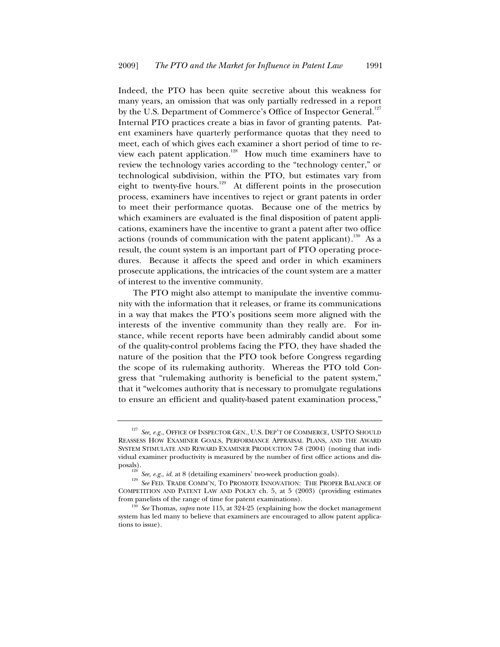Indeed, the PTO has been quite secretive about this weakness for many years, an omission that was only partially redressed in a report by the U.S. Department of Commerce's Office of Inspector General.<sup>127</sup> Internal PTO practices create a bias in favor of granting patents. Patent examiners have quarterly performance quotas that they need to meet, each of which gives each examiner a short period of time to review each patent application.<sup>128</sup> How much time examiners have to review the technology varies according to the "technology center," or technological subdivision, within the PTO, but estimates vary from eight to twenty-five hours.<sup>129</sup> At different points in the prosecution process, examiners have incentives to reject or grant patents in order to meet their performance quotas. Because one of the metrics by which examiners are evaluated is the final disposition of patent applications, examiners have the incentive to grant a patent after two office actions (rounds of communication with the patent applicant).<sup>130</sup> As a result, the count system is an important part of PTO operating procedures. Because it affects the speed and order in which examiners prosecute applications, the intricacies of the count system are a matter of interest to the inventive community.

The PTO might also attempt to manipulate the inventive community with the information that it releases, or frame its communications in a way that makes the PTO's positions seem more aligned with the interests of the inventive community than they really are. For instance, while recent reports have been admirably candid about some of the quality-control problems facing the PTO, they have shaded the nature of the position that the PTO took before Congress regarding the scope of its rulemaking authority. Whereas the PTO told Congress that "rulemaking authority is beneficial to the patent system," that it "welcomes authority that is necessary to promulgate regulations to ensure an efficient and quality-based patent examination process,"

 $^{127}$   $\it See,\,e.g.,$  OFFICE OF INSPECTOR GEN., U.S. DEP'T OF COMMERCE, USPTO SHOULD REASSESS HOW EXAMINER GOALS, PERFORMANCE APPRAISAL PLANS, AND THE AWARD SYSTEM STIMULATE AND REWARD EXAMINER PRODUCTION 7-8 (2004) (noting that individual examiner productivity is measured by the number of first office actions and dis-

posals).<br><sup>128</sup> *See, e.g., id.* at 8 (detailing examiners' two-week production goals).<br><sup>129</sup> *See* FED. TRADE COMM'N, TO PROMOTE INNOVATION: THE PROPER BALANCE OF COMPETITION AND PATENT LAW AND POLICY ch. 5, at 5 (2003) (providing estimates

from panelists of the range of time for patent examinations). 130 *See* Thomas, *supra* note 115, at 324-25 (explaining how the docket management system has led many to believe that examiners are encouraged to allow patent applications to issue).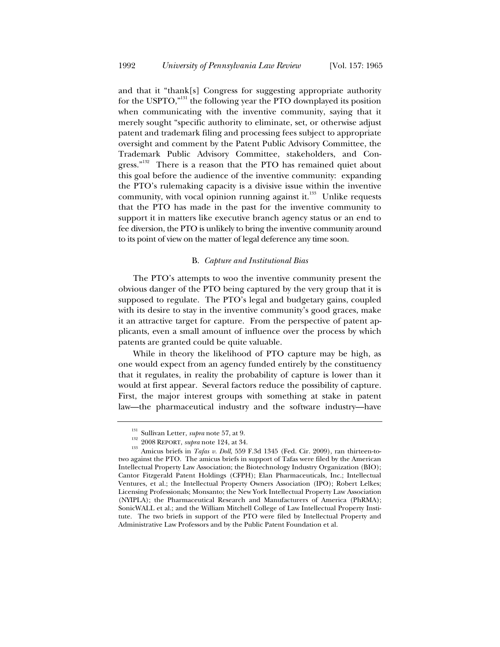and that it "thank[s] Congress for suggesting appropriate authority for the USPTO,"<sup>131</sup> the following year the PTO downplayed its position when communicating with the inventive community, saying that it merely sought "specific authority to eliminate, set, or otherwise adjust patent and trademark filing and processing fees subject to appropriate oversight and comment by the Patent Public Advisory Committee, the Trademark Public Advisory Committee, stakeholders, and Congress."<sup>132</sup> There is a reason that the PTO has remained quiet about this goal before the audience of the inventive community: expanding the PTO's rulemaking capacity is a divisive issue within the inventive community, with vocal opinion running against it. $133$  Unlike requests that the PTO has made in the past for the inventive community to support it in matters like executive branch agency status or an end to fee diversion, the PTO is unlikely to bring the inventive community around to its point of view on the matter of legal deference any time soon.

#### B. *Capture and Institutional Bias*

The PTO's attempts to woo the inventive community present the obvious danger of the PTO being captured by the very group that it is supposed to regulate. The PTO's legal and budgetary gains, coupled with its desire to stay in the inventive community's good graces, make it an attractive target for capture. From the perspective of patent applicants, even a small amount of influence over the process by which patents are granted could be quite valuable.

While in theory the likelihood of PTO capture may be high, as one would expect from an agency funded entirely by the constituency that it regulates, in reality the probability of capture is lower than it would at first appear. Several factors reduce the possibility of capture. First, the major interest groups with something at stake in patent law—the pharmaceutical industry and the software industry—have

<sup>&</sup>lt;sup>131</sup> Sullivan Letter, *supra* note 57, at 9.<br><sup>132</sup> 2008 REPORT, *supra* note 124, at 34.<br><sup>133</sup> Amicus briefs in *Tafas v. Doll*, 559 F.3d 1345 (Fed. Cir. 2009), ran thirteen-totwo against the PTO. The amicus briefs in support of Tafas were filed by the American Intellectual Property Law Association; the Biotechnology Industry Organization (BIO); Cantor Fitzgerald Patent Holdings (CFPH); Elan Pharmaceuticals, Inc.; Intellectual Ventures, et al.; the Intellectual Property Owners Association (IPO); Robert Lelkes; Licensing Professionals; Monsanto; the New York Intellectual Property Law Association (NYIPLA); the Pharmaceutical Research and Manufacturers of America (PhRMA); SonicWALL et al.; and the William Mitchell College of Law Intellectual Property Institute. The two briefs in support of the PTO were filed by Intellectual Property and Administrative Law Professors and by the Public Patent Foundation et al.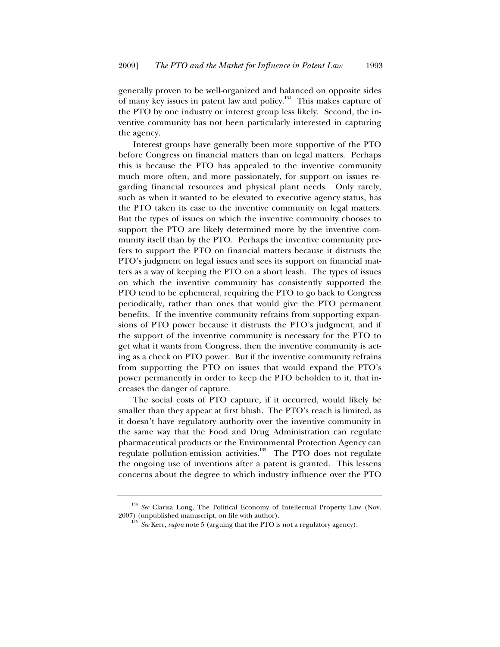generally proven to be well-organized and balanced on opposite sides of many key issues in patent law and policy.<sup>134</sup> This makes capture of the PTO by one industry or interest group less likely. Second, the inventive community has not been particularly interested in capturing the agency.

Interest groups have generally been more supportive of the PTO before Congress on financial matters than on legal matters. Perhaps this is because the PTO has appealed to the inventive community much more often, and more passionately, for support on issues regarding financial resources and physical plant needs. Only rarely, such as when it wanted to be elevated to executive agency status, has the PTO taken its case to the inventive community on legal matters. But the types of issues on which the inventive community chooses to support the PTO are likely determined more by the inventive community itself than by the PTO. Perhaps the inventive community prefers to support the PTO on financial matters because it distrusts the PTO's judgment on legal issues and sees its support on financial matters as a way of keeping the PTO on a short leash. The types of issues on which the inventive community has consistently supported the PTO tend to be ephemeral, requiring the PTO to go back to Congress periodically, rather than ones that would give the PTO permanent benefits. If the inventive community refrains from supporting expansions of PTO power because it distrusts the PTO's judgment, and if the support of the inventive community is necessary for the PTO to get what it wants from Congress, then the inventive community is acting as a check on PTO power. But if the inventive community refrains from supporting the PTO on issues that would expand the PTO's power permanently in order to keep the PTO beholden to it, that increases the danger of capture.

The social costs of PTO capture, if it occurred, would likely be smaller than they appear at first blush. The PTO's reach is limited, as it doesn't have regulatory authority over the inventive community in the same way that the Food and Drug Administration can regulate pharmaceutical products or the Environmental Protection Agency can regulate pollution-emission activities.135 The PTO does not regulate the ongoing use of inventions after a patent is granted. This lessens concerns about the degree to which industry influence over the PTO

<sup>&</sup>lt;sup>134</sup> *See* Clarisa Long, The Political Economy of Intellectual Property Law (Nov. 2007) (unpublished manuscript, on file with author).

See Kerr, *supra* note 5 (arguing that the PTO is not a regulatory agency).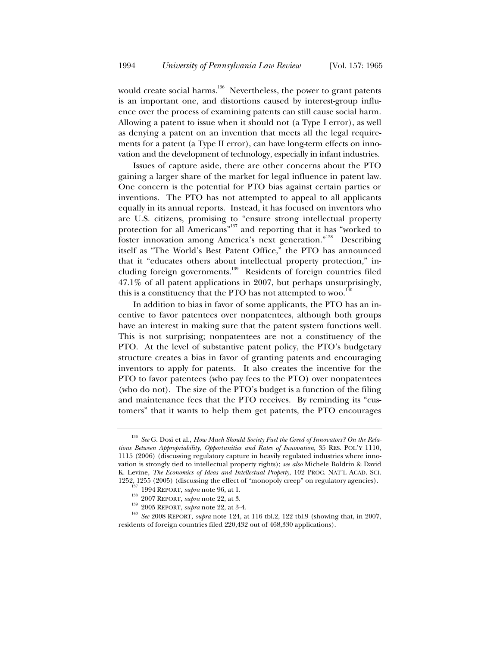would create social harms.<sup>136</sup> Nevertheless, the power to grant patents is an important one, and distortions caused by interest-group influence over the process of examining patents can still cause social harm. Allowing a patent to issue when it should not (a Type I error), as well as denying a patent on an invention that meets all the legal requirements for a patent (a Type II error), can have long-term effects on innovation and the development of technology, especially in infant industries.

Issues of capture aside, there are other concerns about the PTO gaining a larger share of the market for legal influence in patent law. One concern is the potential for PTO bias against certain parties or inventions. The PTO has not attempted to appeal to all applicants equally in its annual reports. Instead, it has focused on inventors who are U.S. citizens, promising to "ensure strong intellectual property protection for all Americans"<sup>137</sup> and reporting that it has "worked to foster innovation among America's next generation."<sup>138</sup> Describing itself as "The World's Best Patent Office," the PTO has announced that it "educates others about intellectual property protection," including foreign governments.139 Residents of foreign countries filed 47.1% of all patent applications in 2007, but perhaps unsurprisingly, this is a constituency that the PTO has not attempted to woo.<sup>1</sup>

In addition to bias in favor of some applicants, the PTO has an incentive to favor patentees over nonpatentees, although both groups have an interest in making sure that the patent system functions well. This is not surprising; nonpatentees are not a constituency of the PTO. At the level of substantive patent policy, the PTO's budgetary structure creates a bias in favor of granting patents and encouraging inventors to apply for patents. It also creates the incentive for the PTO to favor patentees (who pay fees to the PTO) over nonpatentees (who do not). The size of the PTO's budget is a function of the filing and maintenance fees that the PTO receives. By reminding its "customers" that it wants to help them get patents, the PTO encourages

<sup>136</sup> *See* G. Dosi et al., *How Much Should Society Fuel the Greed of Innovators? On the Relations Between Appropriability, Opportunities and Rates of Innovation*, 35 RES. POL'Y 1110, 1115 (2006) (discussing regulatory capture in heavily regulated industries where innovation is strongly tied to intellectual property rights); *see also* Michele Boldrin & David K. Levine, *The Economics of Ideas and Intellectual Property*, 102 PROC. NAT'L ACAD. SCI.

<sup>1252, 1255 (2005) (</sup>discussing the effect of "monopoly creep" on regulatory agencies).<br><sup>137</sup> 1994 REPORT, *supra* note 96, at 1.<br><sup>138</sup> 2007 REPORT, *supra* note 22, at 3.<br><sup>139</sup> 2005 REPORT, *supra* note 22, at 3-4.<br><sup>140</sup> residents of foreign countries filed 220,432 out of 468,330 applications).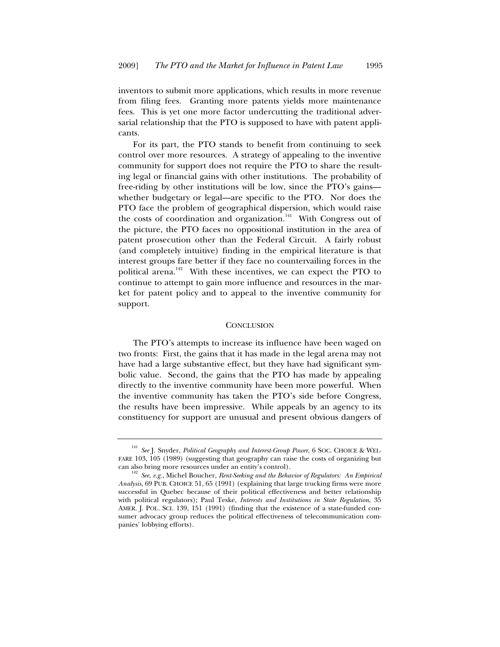inventors to submit more applications, which results in more revenue from filing fees. Granting more patents yields more maintenance fees. This is yet one more factor undercutting the traditional adversarial relationship that the PTO is supposed to have with patent applicants.

For its part, the PTO stands to benefit from continuing to seek control over more resources. A strategy of appealing to the inventive community for support does not require the PTO to share the resulting legal or financial gains with other institutions. The probability of free-riding by other institutions will be low, since the PTO's gains whether budgetary or legal—are specific to the PTO. Nor does the PTO face the problem of geographical dispersion, which would raise the costs of coordination and organization.<sup>141</sup> With Congress out of the picture, the PTO faces no oppositional institution in the area of patent prosecution other than the Federal Circuit. A fairly robust (and completely intuitive) finding in the empirical literature is that interest groups fare better if they face no countervailing forces in the political arena.<sup>142</sup> With these incentives, we can expect the PTO to continue to attempt to gain more influence and resources in the market for patent policy and to appeal to the inventive community for support.

#### **CONCLUSION**

The PTO's attempts to increase its influence have been waged on two fronts: First, the gains that it has made in the legal arena may not have had a large substantive effect, but they have had significant symbolic value. Second, the gains that the PTO has made by appealing directly to the inventive community have been more powerful. When the inventive community has taken the PTO's side before Congress, the results have been impressive. While appeals by an agency to its constituency for support are unusual and present obvious dangers of

<sup>141</sup> *See* J. Snyder, *Political Geography and Interest-Group Power*, 6 SOC. CHOICE & WEL-FARE 103, 105 (1989) (suggesting that geography can raise the costs of organizing but can also bring more resources under an entity's control).

<sup>&</sup>lt;sup>142</sup> See, e.g., Michel Boucher, *Rent-Seeking and the Behavior of Regulators: An Empirical Analysis*, 69 PUB. CHOICE 51, 65 (1991) (explaining that large trucking firms were more successful in Quebec because of their political effectiveness and better relationship with political regulators); Paul Teske, *Interests and Institutions in State Regulation*, 35 AMER. J. POL. SCI. 139, 151 (1991) (finding that the existence of a state-funded consumer advocacy group reduces the political effectiveness of telecommunication companies' lobbying efforts).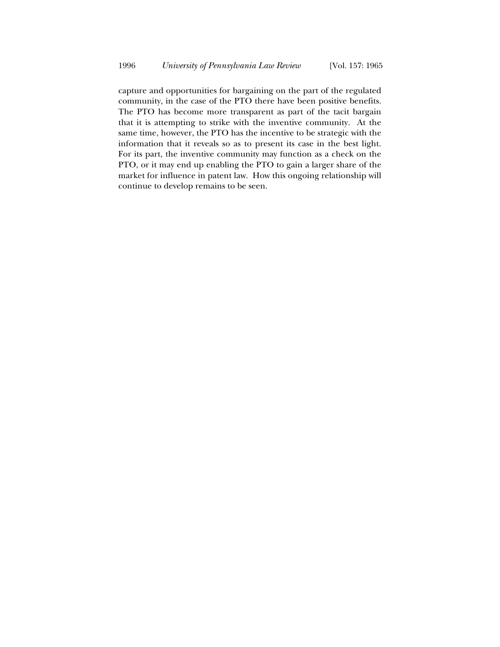capture and opportunities for bargaining on the part of the regulated community, in the case of the PTO there have been positive benefits. The PTO has become more transparent as part of the tacit bargain that it is attempting to strike with the inventive community. At the same time, however, the PTO has the incentive to be strategic with the information that it reveals so as to present its case in the best light. For its part, the inventive community may function as a check on the PTO, or it may end up enabling the PTO to gain a larger share of the market for influence in patent law. How this ongoing relationship will continue to develop remains to be seen.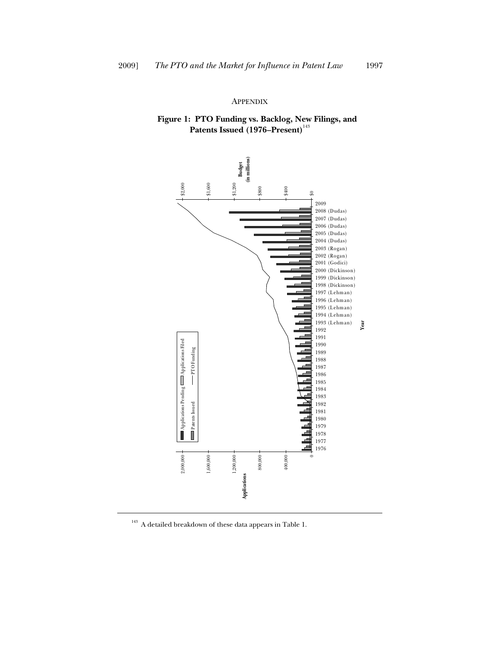#### APPENDIX

## **Figure 1: PTO Funding vs. Backlog, New Filings, and**  Patents Issued (1976–Present)<sup>143</sup>



 $^{\rm 143}$  A detailed breakdown of these data appears in Table 1.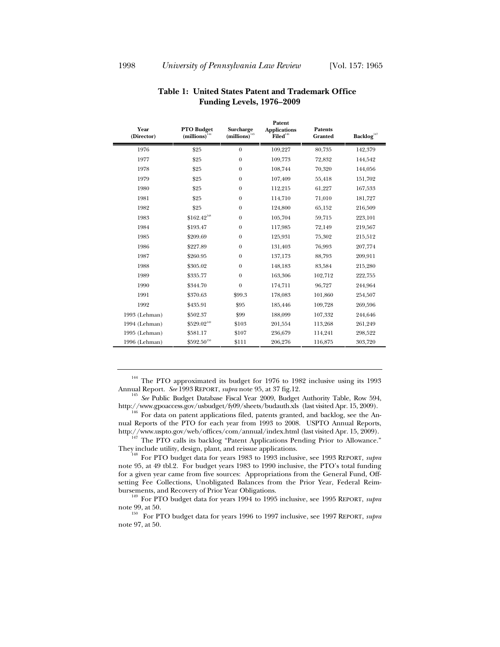| Year<br>(Director) | <b>PTO Budget</b><br>$(millions)$ <sup>144</sup> | Surcharge<br>$(millions)^{145}$ | <b>Applications</b><br>$\mathbf{Filed}^{^{146}}$ | <b>Patents</b><br><b>Granted</b> | Backlog <sup>147</sup> |
|--------------------|--------------------------------------------------|---------------------------------|--------------------------------------------------|----------------------------------|------------------------|
| 1976               | \$25                                             | $\theta$                        | 109,227                                          | 80,735                           | 142,379                |
| 1977               | \$25                                             | $\boldsymbol{0}$                | 109,773                                          | 72,832                           | 144,542                |
| 1978               | \$25                                             | $\mathbf{0}$                    | 108,744                                          | 70,320                           | 144,056                |
| 1979               | \$25                                             | $\mathbf{0}$                    | 107,409                                          | 55,418                           | 151,702                |
| 1980               | \$25                                             | $\mathbf{0}$                    | 112,215                                          | 61,227                           | 167,533                |
| 1981               | \$25                                             | $\mathbf{0}$                    | 114,710                                          | 71,010                           | 181,727                |
| 1982               | \$25                                             | $\boldsymbol{0}$                | 124,800                                          | 65,152                           | 216,509                |
| 1983               | $$162.42^{148}$                                  | $\mathbf{0}$                    | 105,704                                          | 59,715                           | 223,101                |
| 1984               | \$193.47                                         | $\mathbf{0}$                    | 117,985                                          | 72,149                           | 219,567                |
| 1985               | \$209.69                                         | $\boldsymbol{0}$                | 125,931                                          | 75,302                           | 215,512                |
| 1986               | \$227.89                                         | $\mathbf{0}$                    | 131,403                                          | 76,993                           | 207,774                |
| 1987               | \$260.95                                         | $\mathbf{0}$                    | 137,173                                          | 88,793                           | 209,911                |
| 1988               | \$305.02                                         | $\theta$                        | 148,183                                          | 83,584                           | 215,280                |
| 1989               | \$335.77                                         | $\theta$                        | 163,306                                          | 102,712                          | 222,755                |
| 1990               | \$344.70                                         | $\theta$                        | 174,711                                          | 96,727                           | 244,964                |
| 1991               | \$370.63                                         | \$99.3                          | 178,083                                          | 101,860                          | 254,507                |
| 1992               | \$435.91                                         | \$95                            | 185,446                                          | 109,728                          | 269,596                |
| 1993 (Lehman)      | \$502.37                                         | \$99                            | 188,099                                          | 107,332                          | 244,646                |
| 1994 (Lehman)      | \$529.02 <sup>149</sup>                          | \$103                           | 201,554                                          | 113,268                          | 261,249                |
| 1995 (Lehman)      | \$581.17                                         | \$107                           | 236,679                                          | 114,241                          | 298,522                |
| 1996 (Lehman)      | $\$592.50^{\scriptscriptstyle 150}$              | \$111                           | 206,276                                          | 116,875                          | 303,720                |

### **Table 1: United States Patent and Trademark Office Funding Levels, 1976–2009**

**Patent** 

<sup>144</sup> The PTO approximated its budget for 1976 to 1982 inclusive using its 1993 Annual Report. *See* 1993 REPORT, *supra* note 95, at 37 fig.12.

<sup>145</sup> See Public Budget Database Fiscal Year 2009, Budget Authority Table, Row 594, http://www.gpoaccess.gov/usbudget/fy09/sheets/budauth.xls (last visited Apr. 15, 2009).

For data on patent applications filed, patents granted, and backlog, see the Annual Reports of the PTO for each year from 1993 to 2008. USPTO Annual Reports,

http://www.uspto.gov/web/offices/com/annual/index.html (last visited Apr. 15, 2009).<br><sup>147</sup> The PTO calls its backlog "Patent Applications Pending Prior to Allowance."<br>They include utility, design, plant, and reissue applic

For PTO budget data for years 1983 to 1993 inclusive, see 1993 REPORT, *supra* note 95, at 49 tbl.2. For budget years 1983 to 1990 inclusive, the PTO's total funding for a given year came from five sources: Appropriations from the General Fund, Offsetting Fee Collections, Unobligated Balances from the Prior Year, Federal Reim-

bursements, and Recovery of Prior Year Obligations. 149 For PTO budget data for years 1994 to 1995 inclusive, see 1995 REPORT, *supra* note 99, at 50.<br><sup>150</sup> For PTO budget data for years 1996 to 1997 inclusive, see 1997 REPORT, *supra* 

note 97, at 50.